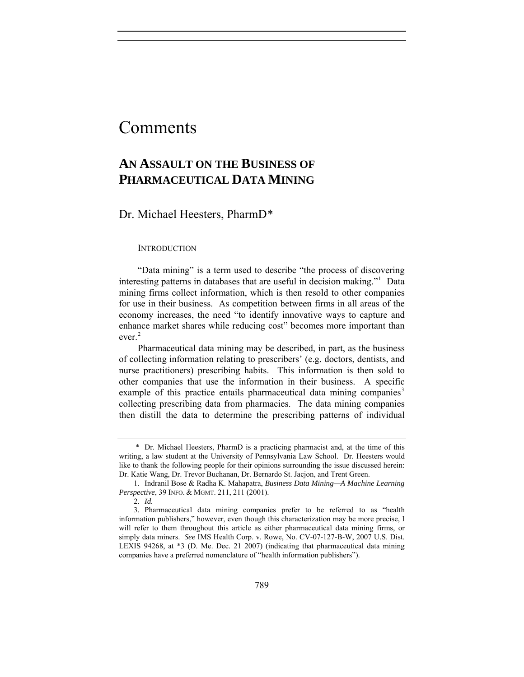# Comments

## **AN ASSAULT ON THE BUSINESS OF PHARMACEUTICAL DATA MINING**

Dr. Michael Heesters, PharmD\*

### **INTRODUCTION**

"Data mining" is a term used to describe "the process of discovering interesting patterns in databases that are useful in decision making."<sup>1</sup> Data mining firms collect information, which is then resold to other companies for use in their business. As competition between firms in all areas of the economy increases, the need "to identify innovative ways to capture and enhance market shares while reducing cost" becomes more important than ever.<sup>2</sup>

Pharmaceutical data mining may be described, in part, as the business of collecting information relating to prescribers' (e.g. doctors, dentists, and nurse practitioners) prescribing habits. This information is then sold to other companies that use the information in their business. A specific example of this practice entails pharmaceutical data mining companies<sup>3</sup> collecting prescribing data from pharmacies. The data mining companies then distill the data to determine the prescribing patterns of individual

 <sup>\*</sup> Dr. Michael Heesters, PharmD is a practicing pharmacist and, at the time of this writing, a law student at the University of Pennsylvania Law School. Dr. Heesters would like to thank the following people for their opinions surrounding the issue discussed herein: Dr. Katie Wang, Dr. Trevor Buchanan, Dr. Bernardo St. Jacjon, and Trent Green.

 <sup>1.</sup> Indranil Bose & Radha K. Mahapatra, *Business Data Mining—A Machine Learning Perspective*, 39 INFO. & MGMT. 211, 211 (2001).

<sup>2.</sup> *Id.*

 <sup>3.</sup> Pharmaceutical data mining companies prefer to be referred to as "health information publishers," however, even though this characterization may be more precise, I will refer to them throughout this article as either pharmaceutical data mining firms, or simply data miners. *See* IMS Health Corp. v. Rowe, No. CV-07-127-B-W, 2007 U.S. Dist. LEXIS 94268, at \*3 (D. Me. Dec. 21 2007) (indicating that pharmaceutical data mining companies have a preferred nomenclature of "health information publishers").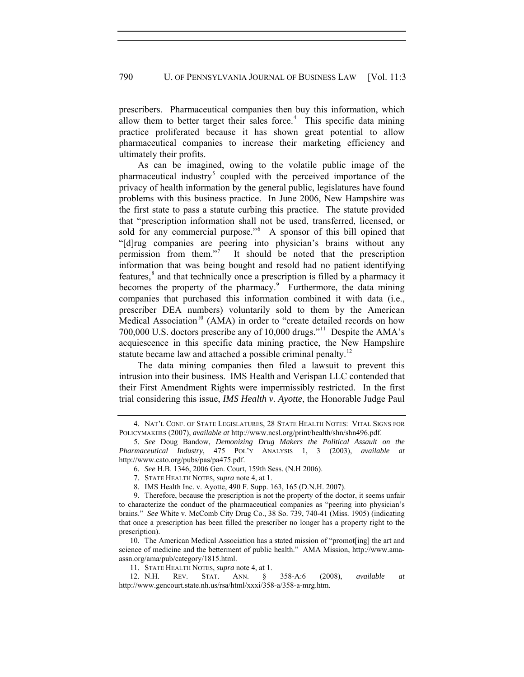prescribers. Pharmaceutical companies then buy this information, which allow them to better target their sales force.<sup>4</sup> This specific data mining practice proliferated because it has shown great potential to allow pharmaceutical companies to increase their marketing efficiency and ultimately their profits.

As can be imagined, owing to the volatile public image of the pharmaceutical industry<sup>5</sup> coupled with the perceived importance of the privacy of health information by the general public, legislatures have found problems with this business practice. In June 2006, New Hampshire was the first state to pass a statute curbing this practice. The statute provided that "prescription information shall not be used, transferred, licensed, or sold for any commercial purpose."<sup>6</sup> A sponsor of this bill opined that "[d]rug companies are peering into physician's brains without any permission from them."<sup>7</sup> It should be noted that the prescription information that was being bought and resold had no patient identifying features,<sup>8</sup> and that technically once a prescription is filled by a pharmacy it becomes the property of the pharmacy.<sup>9</sup> Furthermore, the data mining companies that purchased this information combined it with data (i.e., prescriber DEA numbers) voluntarily sold to them by the American Medical Association<sup>10</sup> (AMA) in order to "create detailed records on how 700,000 U.S. doctors prescribe any of 10,000 drugs."<sup>11</sup> Despite the AMA's acquiescence in this specific data mining practice, the New Hampshire statute became law and attached a possible criminal penalty.<sup>12</sup>

The data mining companies then filed a lawsuit to prevent this intrusion into their business. IMS Health and Verispan LLC contended that their First Amendment Rights were impermissibly restricted. In the first trial considering this issue, *IMS Health v. Ayotte*, the Honorable Judge Paul

 <sup>4.</sup> NAT'L CONF. OF STATE LEGISLATURES, 28 STATE HEALTH NOTES: VITAL SIGNS FOR POLICYMAKERS (2007), *available at* http://www.ncsl.org/print/health/shn/shn496.pdf.

<sup>5.</sup> *See* Doug Bandow, *Demonizing Drug Makers the Political Assault on the Pharmaceutical Industry*, 475 POL'Y ANALYSIS 1, 3 (2003), *available at* http://www.cato.org/pubs/pas/pa475.pdf.

<sup>6.</sup> *See* H.B. 1346, 2006 Gen. Court, 159th Sess. (N.H 2006).

 <sup>7.</sup> STATE HEALTH NOTES, *supra* note 4, at 1.

 <sup>8.</sup> IMS Health Inc. v. Ayotte, 490 F. Supp. 163, 165 (D.N.H. 2007).

 <sup>9.</sup> Therefore, because the prescription is not the property of the doctor, it seems unfair to characterize the conduct of the pharmaceutical companies as "peering into physician's brains." *See* White v. McComb City Drug Co., 38 So. 739, 740-41 (Miss. 1905) (indicating that once a prescription has been filled the prescriber no longer has a property right to the prescription).

 <sup>10.</sup> The American Medical Association has a stated mission of "promot[ing] the art and science of medicine and the betterment of public health." AMA Mission, http://www.amaassn.org/ama/pub/category/1815.html.

 <sup>11.</sup> STATE HEALTH NOTES, *supra* note 4, at 1.

 <sup>12.</sup> N.H. REV. STAT. ANN. § 358-A:6 (2008), *available at* http://www.gencourt.state.nh.us/rsa/html/xxxi/358-a/358-a-mrg.htm.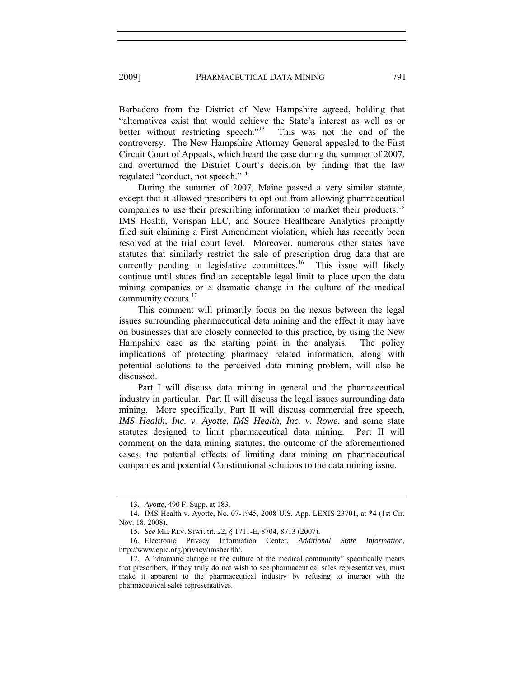2009] PHARMACEUTICAL DATA MINING 791

Barbadoro from the District of New Hampshire agreed, holding that "alternatives exist that would achieve the State's interest as well as or better without restricting speech."<sup>13</sup> This was not the end of the controversy. The New Hampshire Attorney General appealed to the First Circuit Court of Appeals, which heard the case during the summer of 2007, and overturned the District Court's decision by finding that the law regulated "conduct, not speech."<sup>14</sup>

During the summer of 2007, Maine passed a very similar statute, except that it allowed prescribers to opt out from allowing pharmaceutical companies to use their prescribing information to market their products.<sup>15</sup> IMS Health, Verispan LLC, and Source Healthcare Analytics promptly filed suit claiming a First Amendment violation, which has recently been resolved at the trial court level. Moreover, numerous other states have statutes that similarly restrict the sale of prescription drug data that are currently pending in legislative committees.<sup>16</sup> This issue will likely continue until states find an acceptable legal limit to place upon the data mining companies or a dramatic change in the culture of the medical community occurs.<sup>17</sup>

This comment will primarily focus on the nexus between the legal issues surrounding pharmaceutical data mining and the effect it may have on businesses that are closely connected to this practice, by using the New Hampshire case as the starting point in the analysis. The policy implications of protecting pharmacy related information, along with potential solutions to the perceived data mining problem, will also be discussed.

Part I will discuss data mining in general and the pharmaceutical industry in particular. Part II will discuss the legal issues surrounding data mining. More specifically, Part II will discuss commercial free speech, *IMS Health, Inc. v. Ayotte*, *IMS Health, Inc. v. Rowe*, and some state statutes designed to limit pharmaceutical data mining. Part II will comment on the data mining statutes, the outcome of the aforementioned cases, the potential effects of limiting data mining on pharmaceutical companies and potential Constitutional solutions to the data mining issue.

<sup>13.</sup> *Ayotte*, 490 F. Supp. at 183.

 <sup>14.</sup> IMS Health v. Ayotte, No. 07-1945, 2008 U.S. App. LEXIS 23701, at \*4 (1st Cir. Nov. 18, 2008).

<sup>15.</sup> *See* ME. REV. STAT. tit. 22, § 1711-E, 8704, 8713 (2007).

 <sup>16.</sup> Electronic Privacy Information Center, *Additional State Information*, http://www.epic.org/privacy/imshealth/.

 <sup>17.</sup> A "dramatic change in the culture of the medical community" specifically means that prescribers, if they truly do not wish to see pharmaceutical sales representatives, must make it apparent to the pharmaceutical industry by refusing to interact with the pharmaceutical sales representatives.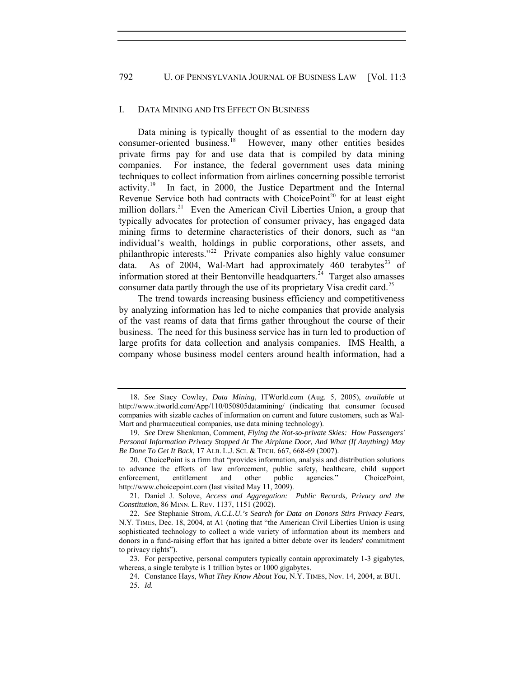## I. DATA MINING AND ITS EFFECT ON BUSINESS

Data mining is typically thought of as essential to the modern day consumer-oriented business.<sup>18</sup> However, many other entities besides private firms pay for and use data that is compiled by data mining companies. For instance, the federal government uses data mining techniques to collect information from airlines concerning possible terrorist activity.19 In fact, in 2000, the Justice Department and the Internal Revenue Service both had contracts with ChoicePoint<sup>20</sup> for at least eight million dollars.<sup>21</sup> Even the American Civil Liberties Union, a group that typically advocates for protection of consumer privacy, has engaged data mining firms to determine characteristics of their donors, such as "an individual's wealth, holdings in public corporations, other assets, and philanthropic interests."22 Private companies also highly value consumer data. As of 2004, Wal-Mart had approximately 460 terabytes<sup>23</sup> of information stored at their Bentonville headquarters.<sup>24</sup> Target also amasses consumer data partly through the use of its proprietary Visa credit card.<sup>25</sup>

The trend towards increasing business efficiency and competitiveness by analyzing information has led to niche companies that provide analysis of the vast reams of data that firms gather throughout the course of their business. The need for this business service has in turn led to production of large profits for data collection and analysis companies. IMS Health, a company whose business model centers around health information, had a

<sup>18.</sup> *See* Stacy Cowley, *Data Mining*, ITWorld.com (Aug. 5, 2005), *available at* http://www.itworld.com/App/110/050805datamining/ (indicating that consumer focused companies with sizable caches of information on current and future customers, such as Wal-Mart and pharmaceutical companies, use data mining technology).

<sup>19.</sup> *See* Drew Shenkman, Comment, *Flying the Not-so-private Skies: How Passengers' Personal Information Privacy Stopped At The Airplane Door, And What (If Anything) May Be Done To Get It Back*, 17 ALB. L.J. SCI. & TECH. 667, 668-69 (2007).

 <sup>20.</sup> ChoicePoint is a firm that "provides information, analysis and distribution solutions to advance the efforts of law enforcement, public safety, healthcare, child support enforcement, entitlement and other public agencies." ChoicePoint, http://www.choicepoint.com (last visited May 11, 2009).

 <sup>21.</sup> Daniel J. Solove, *Access and Aggregation: Public Records, Privacy and the Constitution*, 86 MINN. L. REV. 1137, 1151 (2002).

<sup>22.</sup> *See* Stephanie Strom, *A.C.L.U.'s Search for Data on Donors Stirs Privacy Fears*, N.Y. TIMES, Dec. 18, 2004, at A1 (noting that "the American Civil Liberties Union is using sophisticated technology to collect a wide variety of information about its members and donors in a fund-raising effort that has ignited a bitter debate over its leaders' commitment to privacy rights").

 <sup>23.</sup> For perspective, personal computers typically contain approximately 1-3 gigabytes, whereas, a single terabyte is 1 trillion bytes or 1000 gigabytes.

 <sup>24.</sup> Constance Hays, *What They Know About You*, N.Y. TIMES, Nov. 14, 2004, at BU1. 25. *Id.*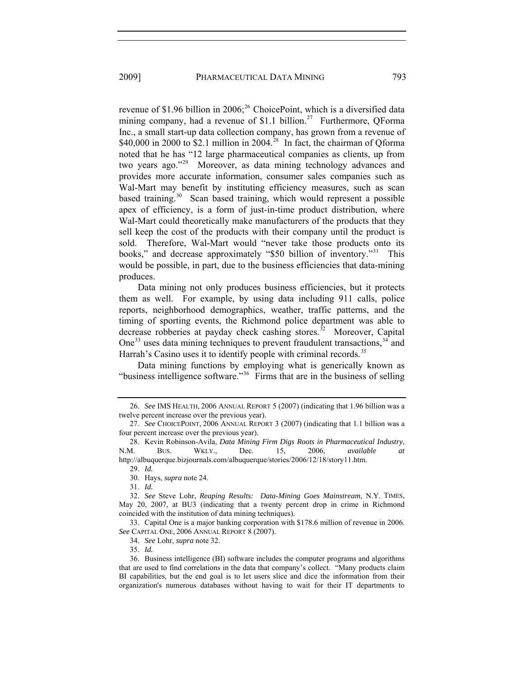revenue of \$1.96 billion in  $2006$ ;<sup>26</sup> ChoicePoint, which is a diversified data mining company, had a revenue of \$1.1 billion.<sup>27</sup> Furthermore, QForma Inc., a small start-up data collection company, has grown from a revenue of \$40,000 in 2000 to \$2.1 million in 2004.<sup>28</sup> In fact, the chairman of Oforma noted that he has "12 large pharmaceutical companies as clients, up from two years ago."<sup>29</sup> Moreover, as data mining technology advances and provides more accurate information, consumer sales companies such as Wal-Mart may benefit by instituting efficiency measures, such as scan based training.<sup>30</sup> Scan based training, which would represent a possible apex of efficiency, is a form of just-in-time product distribution, where Wal-Mart could theoretically make manufacturers of the products that they sell keep the cost of the products with their company until the product is sold. Therefore, Wal-Mart would "never take those products onto its books," and decrease approximately "\$50 billion of inventory."<sup>31</sup> This would be possible, in part, due to the business efficiencies that data-mining produces.

Data mining not only produces business efficiencies, but it protects them as well. For example, by using data including 911 calls, police reports, neighborhood demographics, weather, traffic patterns, and the timing of sporting events, the Richmond police department was able to decrease robberies at payday check cashing stores.<sup>32</sup> Moreover, Capital One<sup>33</sup> uses data mining techniques to prevent fraudulent transactions,  $34$  and Harrah's Casino uses it to identify people with criminal records.<sup>35</sup>

Data mining functions by employing what is generically known as "business intelligence software."<sup>36</sup> Firms that are in the business of selling

30. Hays, *supra* note 24.

31. *Id.*

32. *See* Steve Lohr, *Reaping Results: Data-Mining Goes Mainstream*, N.Y. TIMES, May 20, 2007, at BU3 (indicating that a twenty percent drop in crime in Richmond coincided with the institution of data mining techniques).

 33. Capital One is a major banking corporation with \$178.6 million of revenue in 2006. *See* CAPITAL ONE, 2006 ANNUAL REPORT 8 (2007).

34. *See* Lohr, *supra* note 32.

35. *Id.*

<sup>26.</sup> *See* IMS HEALTH, 2006 ANNUAL REPORT 5 (2007) (indicating that 1.96 billion was a twelve percent increase over the previous year).

<sup>27.</sup> *See* CHOICEPOINT, 2006 ANNUAL REPORT 3 (2007) (indicating that 1.1 billion was a four percent increase over the previous year).

 <sup>28.</sup> Kevin Robinson-Avila, *Data Mining Firm Digs Roots in Pharmaceutical Industry*, N.M. BUS. WKLY., Dec. 15, 2006, *available at* http://albuquerque.bizjournals.com/albuquerque/stories/2006/12/18/story11.htm.

<sup>29.</sup> *Id.*

 <sup>36.</sup> Business intelligence (BI) software includes the computer programs and algorithms that are used to find correlations in the data that company's collect. "Many products claim BI capabilities, but the end goal is to let users slice and dice the information from their organization's numerous databases without having to wait for their IT departments to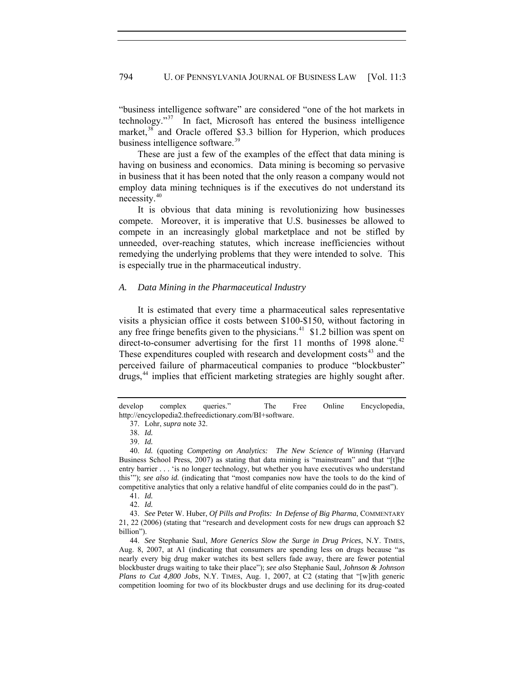"business intelligence software" are considered "one of the hot markets in technology."37 In fact, Microsoft has entered the business intelligence market, $38$  and Oracle offered \$3.3 billion for Hyperion, which produces business intelligence software.<sup>39</sup>

These are just a few of the examples of the effect that data mining is having on business and economics. Data mining is becoming so pervasive in business that it has been noted that the only reason a company would not employ data mining techniques is if the executives do not understand its necessity.<sup>40</sup>

It is obvious that data mining is revolutionizing how businesses compete. Moreover, it is imperative that U.S. businesses be allowed to compete in an increasingly global marketplace and not be stifled by unneeded, over-reaching statutes, which increase inefficiencies without remedying the underlying problems that they were intended to solve. This is especially true in the pharmaceutical industry.

## *A. Data Mining in the Pharmaceutical Industry*

It is estimated that every time a pharmaceutical sales representative visits a physician office it costs between \$100-\$150, without factoring in any free fringe benefits given to the physicians.<sup>41</sup> \$1.2 billion was spent on direct-to-consumer advertising for the first 11 months of 1998 alone.<sup>42</sup> These expenditures coupled with research and development  $costs<sup>43</sup>$  and the perceived failure of pharmaceutical companies to produce "blockbuster" drugs,<sup>44</sup> implies that efficient marketing strategies are highly sought after.

develop complex queries." The Free Online Encyclopedia, http://encyclopedia2.thefreedictionary.com/BI+software.

 <sup>37.</sup> Lohr, *supra* note 32.

<sup>38.</sup> *Id.*

<sup>39.</sup> *Id.*

<sup>40.</sup> *Id.* (quoting *Competing on Analytics: The New Science of Winning* (Harvard Business School Press, 2007) as stating that data mining is "mainstream" and that "[t]he entry barrier . . . 'is no longer technology, but whether you have executives who understand this'"); *see also id.* (indicating that "most companies now have the tools to do the kind of competitive analytics that only a relative handful of elite companies could do in the past").

<sup>41.</sup> *Id.*

<sup>42.</sup> *Id.*

<sup>43.</sup> *See* Peter W. Huber, *Of Pills and Profits: In Defense of Big Pharma*, COMMENTARY 21, 22 (2006) (stating that "research and development costs for new drugs can approach \$2 billion").

<sup>44.</sup> *See* Stephanie Saul, *More Generics Slow the Surge in Drug Prices*, N.Y. TIMES, Aug. 8, 2007, at A1 (indicating that consumers are spending less on drugs because "as nearly every big drug maker watches its best sellers fade away, there are fewer potential blockbuster drugs waiting to take their place"); *see also* Stephanie Saul, *Johnson & Johnson Plans to Cut 4,800 Jobs*, N.Y. TIMES, Aug. 1, 2007, at C2 (stating that "[w]ith generic competition looming for two of its blockbuster drugs and use declining for its drug-coated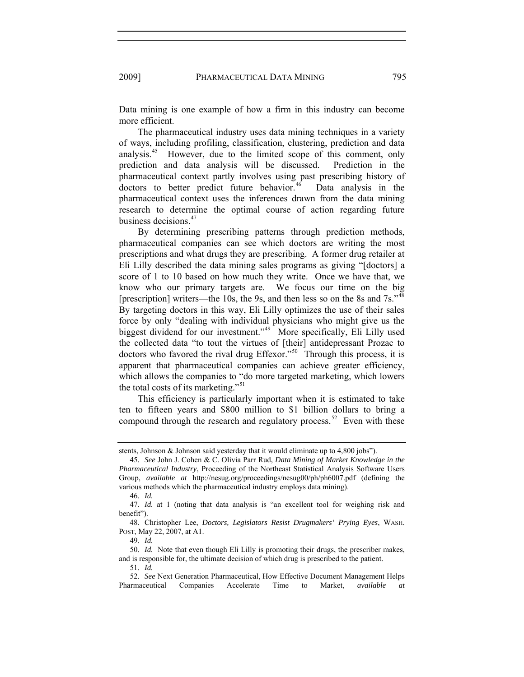Data mining is one example of how a firm in this industry can become more efficient.

The pharmaceutical industry uses data mining techniques in a variety of ways, including profiling, classification, clustering, prediction and data analysis.<sup>45</sup> However, due to the limited scope of this comment, only prediction and data analysis will be discussed. Prediction in the pharmaceutical context partly involves using past prescribing history of doctors to better predict future behavior.<sup>46</sup> Data analysis in the pharmaceutical context uses the inferences drawn from the data mining research to determine the optimal course of action regarding future business decisions.<sup>47</sup>

By determining prescribing patterns through prediction methods, pharmaceutical companies can see which doctors are writing the most prescriptions and what drugs they are prescribing. A former drug retailer at Eli Lilly described the data mining sales programs as giving "[doctors] a score of 1 to 10 based on how much they write. Once we have that, we know who our primary targets are. We focus our time on the big [prescription] writers—the 10s, the 9s, and then less so on the 8s and 7s.<sup>748</sup> By targeting doctors in this way, Eli Lilly optimizes the use of their sales force by only "dealing with individual physicians who might give us the biggest dividend for our investment."<sup>49</sup> More specifically, Eli Lilly used the collected data "to tout the virtues of [their] antidepressant Prozac to doctors who favored the rival drug Effexor."50 Through this process, it is apparent that pharmaceutical companies can achieve greater efficiency, which allows the companies to "do more targeted marketing, which lowers the total costs of its marketing."<sup>51</sup>

This efficiency is particularly important when it is estimated to take ten to fifteen years and \$800 million to \$1 billion dollars to bring a compound through the research and regulatory process.<sup>52</sup> Even with these

46. *Id.*

stents, Johnson & Johnson said yesterday that it would eliminate up to 4,800 jobs").

<sup>45.</sup> *See* John J. Cohen & C. Olivia Parr Rud, *Data Mining of Market Knowledge in the Pharmaceutical Industry*, Proceeding of the Northeast Statistical Analysis Software Users Group, *available at* http://nesug.org/proceedings/nesug00/ph/ph6007.pdf (defining the various methods which the pharmaceutical industry employs data mining).

<sup>47.</sup> *Id.* at 1 (noting that data analysis is "an excellent tool for weighing risk and benefit").

 <sup>48.</sup> Christopher Lee, *Doctors, Legislators Resist Drugmakers' Prying Eyes*, WASH. POST, May 22, 2007, at A1.

<sup>49.</sup> *Id.*

<sup>50.</sup> *Id.* Note that even though Eli Lilly is promoting their drugs, the prescriber makes, and is responsible for, the ultimate decision of which drug is prescribed to the patient.

<sup>51.</sup> *Id.*

<sup>52.</sup> *See* Next Generation Pharmaceutical, How Effective Document Management Helps Pharmaceutical Companies Accelerate Time to Market, *available*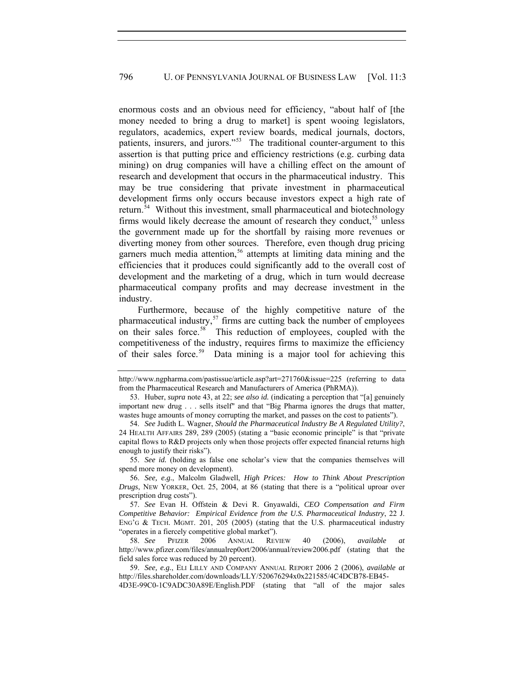enormous costs and an obvious need for efficiency, "about half of [the money needed to bring a drug to market] is spent wooing legislators, regulators, academics, expert review boards, medical journals, doctors, patients, insurers, and jurors."<sup>53</sup> The traditional counter-argument to this assertion is that putting price and efficiency restrictions (e.g. curbing data mining) on drug companies will have a chilling effect on the amount of research and development that occurs in the pharmaceutical industry. This may be true considering that private investment in pharmaceutical development firms only occurs because investors expect a high rate of return.54 Without this investment, small pharmaceutical and biotechnology firms would likely decrease the amount of research they conduct,  $55$  unless the government made up for the shortfall by raising more revenues or diverting money from other sources. Therefore, even though drug pricing garners much media attention,<sup>56</sup> attempts at limiting data mining and the efficiencies that it produces could significantly add to the overall cost of development and the marketing of a drug, which in turn would decrease pharmaceutical company profits and may decrease investment in the industry.

Furthermore, because of the highly competitive nature of the pharmaceutical industry,<sup>57</sup> firms are cutting back the number of employees on their sales force.<sup>58</sup> This reduction of employees, coupled with the competitiveness of the industry, requires firms to maximize the efficiency of their sales force.<sup>59</sup> Data mining is a major tool for achieving this

55. *See id.* (holding as false one scholar's view that the companies themselves will spend more money on development).

http://www.ngpharma.com/pastissue/article.asp?art=271760&issue=225 (referring to data from the Pharmaceutical Research and Manufacturers of America (PhRMA)).

 <sup>53.</sup> Huber, *supra* note 43, at 22; *see also id.* (indicating a perception that "[a] genuinely important new drug . . . sells itself" and that "Big Pharma ignores the drugs that matter, wastes huge amounts of money corrupting the market, and passes on the cost to patients").

<sup>54.</sup> *See* Judith L. Wagner, *Should the Pharmaceutical Industry Be A Regulated Utility?*, 24 HEALTH AFFAIRS 289, 289 (2005) (stating a "basic economic principle" is that "private capital flows to R&D projects only when those projects offer expected financial returns high enough to justify their risks").

<sup>56.</sup> *See, e.g.*, Malcolm Gladwell, *High Prices: How to Think About Prescription Drugs*, NEW YORKER, Oct. 25, 2004, at 86 (stating that there is a "political uproar over prescription drug costs").

<sup>57.</sup> *See* Evan H. Offstein & Devi R. Gnyawaldi, *CEO Compensation and Firm Competitive Behavior: Empirical Evidence from the U.S. Pharmaceutical Industry*, 22 J. ENG'G & TECH. MGMT. 201, 205 (2005) (stating that the U.S. pharmaceutical industry "operates in a fiercely competitive global market").

<sup>58.</sup> *See* PFIZER 2006 ANNUAL REVIEW 40 (2006), *available at* http://www.pfizer.com/files/annualrep0ort/2006/annual/review2006.pdf (stating that the field sales force was reduced by 20 percent).

<sup>59.</sup> *See, e.g.*, ELI LILLY AND COMPANY ANNUAL REPORT 2006 2 (2006), *available at* http://files.shareholder.com/downloads/LLY/520676294x0x221585/4C4DCB78-EB45- 4D3E-99C0-1C9ADC30A89E/English.PDF (stating that "all of the major sales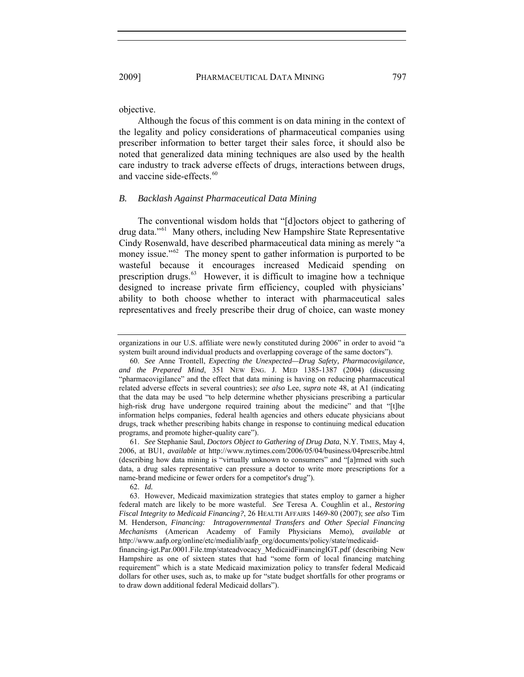2009] PHARMACEUTICAL DATA MINING 797

objective.

Although the focus of this comment is on data mining in the context of the legality and policy considerations of pharmaceutical companies using prescriber information to better target their sales force, it should also be noted that generalized data mining techniques are also used by the health care industry to track adverse effects of drugs, interactions between drugs, and vaccine side-effects.<sup>60</sup>

## *B. Backlash Against Pharmaceutical Data Mining*

The conventional wisdom holds that "[d]octors object to gathering of drug data."61 Many others, including New Hampshire State Representative Cindy Rosenwald, have described pharmaceutical data mining as merely "a money issue."<sup>62</sup> The money spent to gather information is purported to be wasteful because it encourages increased Medicaid spending on prescription drugs.<sup>63</sup> However, it is difficult to imagine how a technique designed to increase private firm efficiency, coupled with physicians' ability to both choose whether to interact with pharmaceutical sales representatives and freely prescribe their drug of choice, can waste money

61. *See* Stephanie Saul, *Doctors Object to Gathering of Drug Data*, N.Y. TIMES, May 4, 2006, at BU1, *available at* http://www.nytimes.com/2006/05/04/business/04prescribe.html (describing how data mining is "virtually unknown to consumers" and "[a]rmed with such data, a drug sales representative can pressure a doctor to write more prescriptions for a name-brand medicine or fewer orders for a competitor's drug").

62. *Id.*

financing-igt.Par.0001.File.tmp/stateadvocacy\_MedicaidFinancingIGT.pdf (describing New Hampshire as one of sixteen states that had "some form of local financing matching requirement" which is a state Medicaid maximization policy to transfer federal Medicaid dollars for other uses, such as, to make up for "state budget shortfalls for other programs or to draw down additional federal Medicaid dollars").

organizations in our U.S. affiliate were newly constituted during 2006" in order to avoid "a system built around individual products and overlapping coverage of the same doctors").

<sup>60.</sup> *See* Anne Trontell, *Expecting the Unexpected—Drug Safety, Pharmacovigilance, and the Prepared Mind*, 351 NEW ENG. J. MED 1385-1387 (2004) (discussing "pharmacovigilance" and the effect that data mining is having on reducing pharmaceutical related adverse effects in several countries); *see also* Lee, *supra* note 48, at A1 (indicating that the data may be used "to help determine whether physicians prescribing a particular high-risk drug have undergone required training about the medicine" and that "[t]he information helps companies, federal health agencies and others educate physicians about drugs, track whether prescribing habits change in response to continuing medical education programs, and promote higher-quality care").

 <sup>63.</sup> However, Medicaid maximization strategies that states employ to garner a higher federal match are likely to be more wasteful. *See* Teresa A. Coughlin et al., *Restoring Fiscal Integrity to Medicaid Financing?*, 26 HEALTH AFFAIRS 1469-80 (2007); *see also* Tim M. Henderson, *Financing: Intragovernmental Transfers and Other Special Financing Mechanisms* (American Academy of Family Physicians Memo), *available at* http://www.aafp.org/online/etc/medialib/aafp\_org/documents/policy/state/medicaid-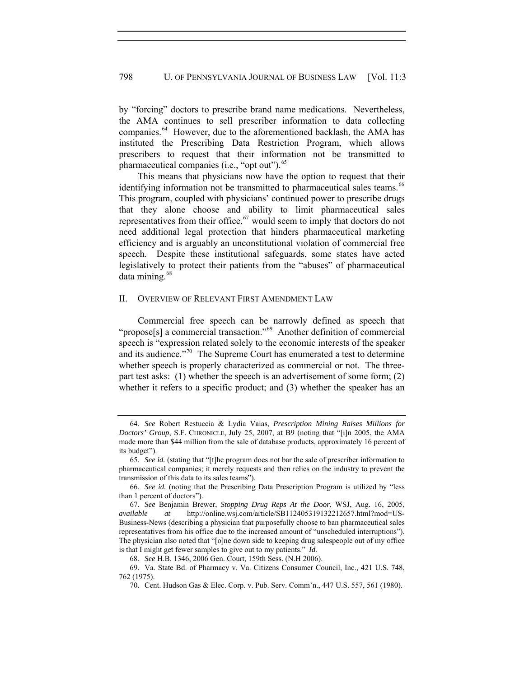by "forcing" doctors to prescribe brand name medications. Nevertheless, the AMA continues to sell prescriber information to data collecting companies.<sup>64</sup> However, due to the aforementioned backlash, the AMA has instituted the Prescribing Data Restriction Program, which allows prescribers to request that their information not be transmitted to pharmaceutical companies (i.e., "opt out").<sup>65</sup>

This means that physicians now have the option to request that their identifying information not be transmitted to pharmaceutical sales teams.<sup>66</sup> This program, coupled with physicians' continued power to prescribe drugs that they alone choose and ability to limit pharmaceutical sales representatives from their office,<sup>67</sup> would seem to imply that doctors do not need additional legal protection that hinders pharmaceutical marketing efficiency and is arguably an unconstitutional violation of commercial free speech. Despite these institutional safeguards, some states have acted legislatively to protect their patients from the "abuses" of pharmaceutical data mining. $68$ 

#### II. OVERVIEW OF RELEVANT FIRST AMENDMENT LAW

Commercial free speech can be narrowly defined as speech that "propose[s] a commercial transaction."<sup>69</sup> Another definition of commercial speech is "expression related solely to the economic interests of the speaker and its audience."<sup>70</sup> The Supreme Court has enumerated a test to determine whether speech is properly characterized as commercial or not. The threepart test asks: (1) whether the speech is an advertisement of some form; (2) whether it refers to a specific product; and (3) whether the speaker has an

<sup>64.</sup> *See* Robert Restuccia & Lydia Vaias, *Prescription Mining Raises Millions for Doctors' Group*, S.F. CHRONICLE, July 25, 2007, at B9 (noting that "[i]n 2005, the AMA made more than \$44 million from the sale of database products, approximately 16 percent of its budget").

<sup>65.</sup> *See id.* (stating that "[t]he program does not bar the sale of prescriber information to pharmaceutical companies; it merely requests and then relies on the industry to prevent the transmission of this data to its sales teams").

<sup>66.</sup> *See id.* (noting that the Prescribing Data Prescription Program is utilized by "less than 1 percent of doctors").

<sup>67.</sup> *See* Benjamin Brewer, *Stopping Drug Reps At the Door*, WSJ, Aug. 16, 2005, *available at* http://online.wsj.com/article/SB112405319132212657.html?mod=US-Business-News (describing a physician that purposefully choose to ban pharmaceutical sales representatives from his office due to the increased amount of "unscheduled interruptions"). The physician also noted that "[o]ne down side to keeping drug salespeople out of my office is that I might get fewer samples to give out to my patients." *Id.* 

<sup>68.</sup> *See* H.B. 1346, 2006 Gen. Court, 159th Sess. (N.H 2006).

 <sup>69.</sup> Va. State Bd. of Pharmacy v. Va. Citizens Consumer Council, Inc., 421 U.S. 748, 762 (1975).

 <sup>70.</sup> Cent. Hudson Gas & Elec. Corp. v. Pub. Serv. Comm'n., 447 U.S. 557, 561 (1980).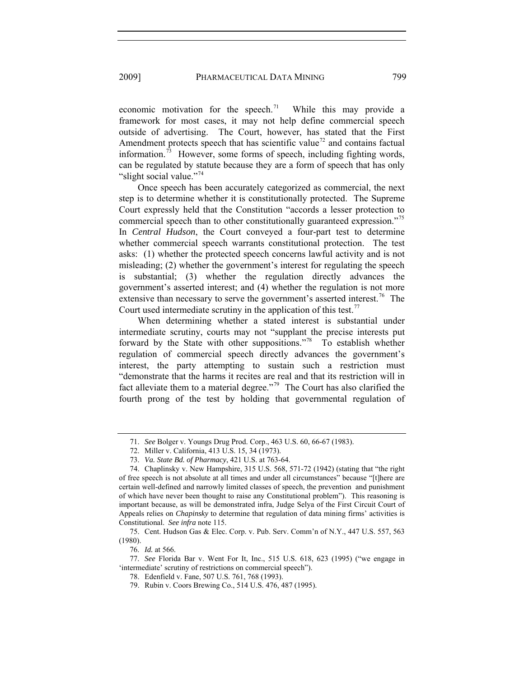2009] PHARMACEUTICAL DATA MINING 799

economic motivation for the speech.<sup>71</sup> While this may provide a framework for most cases, it may not help define commercial speech outside of advertising. The Court, however, has stated that the First Amendment protects speech that has scientific value<sup>72</sup> and contains factual information.<sup>73</sup> However, some forms of speech, including fighting words, can be regulated by statute because they are a form of speech that has only "slight social value."<sup>74</sup>

Once speech has been accurately categorized as commercial, the next step is to determine whether it is constitutionally protected. The Supreme Court expressly held that the Constitution "accords a lesser protection to commercial speech than to other constitutionally guaranteed expression."75 In *Central Hudson*, the Court conveyed a four-part test to determine whether commercial speech warrants constitutional protection. The test asks: (1) whether the protected speech concerns lawful activity and is not misleading; (2) whether the government's interest for regulating the speech is substantial; (3) whether the regulation directly advances the government's asserted interest; and (4) whether the regulation is not more extensive than necessary to serve the government's asserted interest.<sup>76</sup> The Court used intermediate scrutiny in the application of this test.<sup>77</sup>

When determining whether a stated interest is substantial under intermediate scrutiny, courts may not "supplant the precise interests put forward by the State with other suppositions."<sup>78</sup> To establish whether regulation of commercial speech directly advances the government's interest, the party attempting to sustain such a restriction must "demonstrate that the harms it recites are real and that its restriction will in fact alleviate them to a material degree."<sup>79</sup> The Court has also clarified the fourth prong of the test by holding that governmental regulation of

76. *Id.* at 566.

79. Rubin v. Coors Brewing Co., 514 U.S. 476, 487 (1995).

<sup>71.</sup> *See* Bolger v. Youngs Drug Prod. Corp., 463 U.S. 60, 66-67 (1983).

 <sup>72.</sup> Miller v. California, 413 U.S. 15, 34 (1973).

<sup>73.</sup> *Va. State Bd. of Pharmacy*, 421 U.S. at 763-64.

 <sup>74.</sup> Chaplinsky v. New Hampshire, 315 U.S. 568, 571-72 (1942) (stating that "the right of free speech is not absolute at all times and under all circumstances" because "[t]here are certain well-defined and narrowly limited classes of speech, the prevention and punishment of which have never been thought to raise any Constitutional problem"). This reasoning is important because, as will be demonstrated infra, Judge Selya of the First Circuit Court of Appeals relies on *Chapinsky* to determine that regulation of data mining firms' activities is Constitutional. *See infra* note 115.

 <sup>75.</sup> Cent. Hudson Gas & Elec. Corp. v. Pub. Serv. Comm'n of N.Y., 447 U.S. 557, 563 (1980).

<sup>77.</sup> *See* Florida Bar v. Went For It, Inc., 515 U.S. 618, 623 (1995) ("we engage in 'intermediate' scrutiny of restrictions on commercial speech").

 <sup>78.</sup> Edenfield v. Fane, 507 U.S. 761, 768 (1993).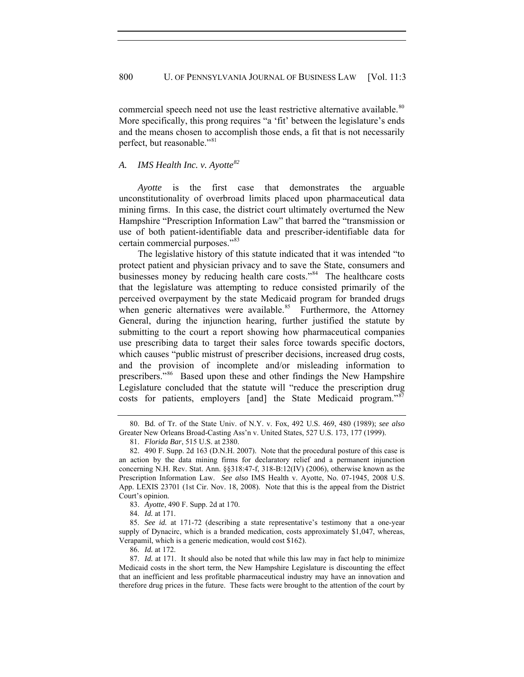commercial speech need not use the least restrictive alternative available.<sup>80</sup> More specifically, this prong requires "a 'fit' between the legislature's ends and the means chosen to accomplish those ends, a fit that is not necessarily perfect, but reasonable."<sup>81</sup>

## *A. IMS Health Inc. v. Ayotte<sup>82</sup>*

*Ayotte* is the first case that demonstrates the arguable unconstitutionality of overbroad limits placed upon pharmaceutical data mining firms. In this case, the district court ultimately overturned the New Hampshire "Prescription Information Law" that barred the "transmission or use of both patient-identifiable data and prescriber-identifiable data for certain commercial purposes."<sup>83</sup>

The legislative history of this statute indicated that it was intended "to protect patient and physician privacy and to save the State, consumers and businesses money by reducing health care costs."<sup>84</sup> The healthcare costs that the legislature was attempting to reduce consisted primarily of the perceived overpayment by the state Medicaid program for branded drugs when generic alternatives were available. $85$  Furthermore, the Attorney General, during the injunction hearing, further justified the statute by submitting to the court a report showing how pharmaceutical companies use prescribing data to target their sales force towards specific doctors, which causes "public mistrust of prescriber decisions, increased drug costs, and the provision of incomplete and/or misleading information to prescribers."86 Based upon these and other findings the New Hampshire Legislature concluded that the statute will "reduce the prescription drug costs for patients, employers [and] the State Medicaid program."87

 <sup>80.</sup> Bd. of Tr. of the State Univ. of N.Y. v. Fox, 492 U.S. 469, 480 (1989); *see also* Greater New Orleans Broad-Casting Ass'n v. United States, 527 U.S. 173, 177 (1999).

<sup>81.</sup> *Florida Bar*, 515 U.S. at 2380.

 <sup>82. 490</sup> F. Supp. 2d 163 (D.N.H. 2007). Note that the procedural posture of this case is an action by the data mining firms for declaratory relief and a permanent injunction concerning N.H. Rev. Stat. Ann. §§318:47-f, 318-B:12(IV) (2006), otherwise known as the Prescription Information Law. *See also* IMS Health v. Ayotte, No. 07-1945, 2008 U.S. App. LEXIS 23701 (1st Cir. Nov. 18, 2008). Note that this is the appeal from the District Court's opinion.

<sup>83.</sup> *Ayotte*, 490 F. Supp. 2d at 170.

<sup>84.</sup> *Id.* at 171.

<sup>85.</sup> *See id.* at 171-72 (describing a state representative's testimony that a one-year supply of Dynacirc, which is a branded medication, costs approximately \$1,047, whereas, Verapamil, which is a generic medication, would cost \$162).

<sup>86.</sup> *Id.* at 172.

<sup>87.</sup> *Id.* at 171. It should also be noted that while this law may in fact help to minimize Medicaid costs in the short term, the New Hampshire Legislature is discounting the effect that an inefficient and less profitable pharmaceutical industry may have an innovation and therefore drug prices in the future. These facts were brought to the attention of the court by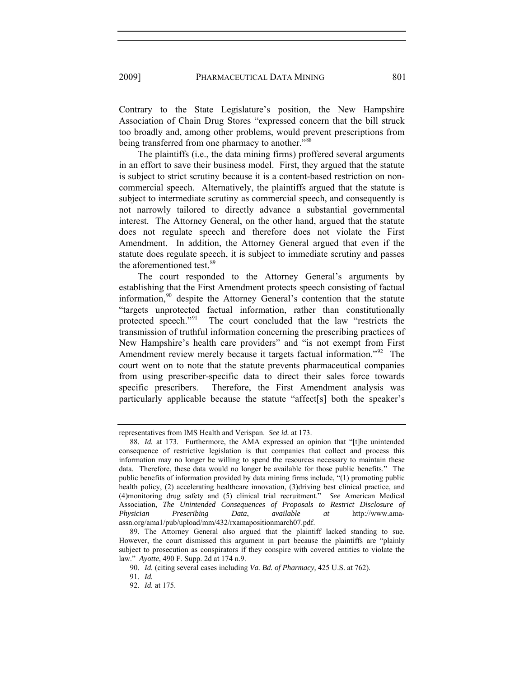Contrary to the State Legislature's position, the New Hampshire Association of Chain Drug Stores "expressed concern that the bill struck too broadly and, among other problems, would prevent prescriptions from being transferred from one pharmacy to another."<sup>88</sup>

The plaintiffs (i.e., the data mining firms) proffered several arguments in an effort to save their business model. First, they argued that the statute is subject to strict scrutiny because it is a content-based restriction on noncommercial speech. Alternatively, the plaintiffs argued that the statute is subject to intermediate scrutiny as commercial speech, and consequently is not narrowly tailored to directly advance a substantial governmental interest. The Attorney General, on the other hand, argued that the statute does not regulate speech and therefore does not violate the First Amendment. In addition, the Attorney General argued that even if the statute does regulate speech, it is subject to immediate scrutiny and passes the aforementioned test.<sup>89</sup>

The court responded to the Attorney General's arguments by establishing that the First Amendment protects speech consisting of factual information, $90$  despite the Attorney General's contention that the statute "targets unprotected factual information, rather than constitutionally protected speech."<sup>91</sup> The court concluded that the law "restricts the transmission of truthful information concerning the prescribing practices of New Hampshire's health care providers" and "is not exempt from First Amendment review merely because it targets factual information."<sup>92</sup> The court went on to note that the statute prevents pharmaceutical companies from using prescriber-specific data to direct their sales force towards specific prescribers. Therefore, the First Amendment analysis was particularly applicable because the statute "affect[s] both the speaker's

representatives from IMS Health and Verispan. *See id.* at 173.

<sup>88.</sup> *Id.* at 173. Furthermore, the AMA expressed an opinion that "[t]he unintended consequence of restrictive legislation is that companies that collect and process this information may no longer be willing to spend the resources necessary to maintain these data. Therefore, these data would no longer be available for those public benefits." The public benefits of information provided by data mining firms include, "(1) promoting public health policy, (2) accelerating healthcare innovation, (3)driving best clinical practice, and (4)monitoring drug safety and (5) clinical trial recruitment." *See* American Medical Association, *The Unintended Consequences of Proposals to Restrict Disclosure of Physician Prescribing Data*, *available at* http://www.amaassn.org/ama1/pub/upload/mm/432/rxamapositionmarch07.pdf.

 <sup>89.</sup> The Attorney General also argued that the plaintiff lacked standing to sue. However, the court dismissed this argument in part because the plaintiffs are "plainly subject to prosecution as conspirators if they conspire with covered entities to violate the law." *Ayotte*, 490 F. Supp. 2d at 174 n.9.

<sup>90.</sup> *Id.* (citing several cases including *Va. Bd. of Pharmacy,* 425 U.S. at 762).

<sup>91.</sup> *Id.*

<sup>92.</sup> *Id.* at 175.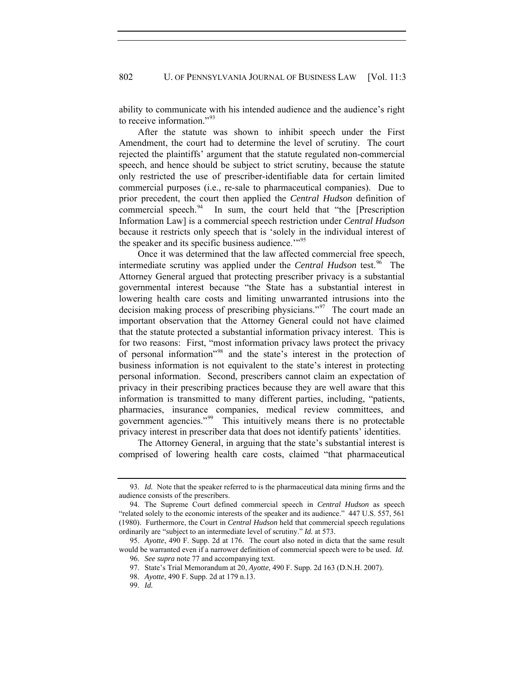ability to communicate with his intended audience and the audience's right to receive information."<sup>93</sup>

After the statute was shown to inhibit speech under the First Amendment, the court had to determine the level of scrutiny. The court rejected the plaintiffs' argument that the statute regulated non-commercial speech, and hence should be subject to strict scrutiny, because the statute only restricted the use of prescriber-identifiable data for certain limited commercial purposes (i.e., re-sale to pharmaceutical companies). Due to prior precedent, the court then applied the *Central Hudson* definition of commercial speech. $94$  In sum, the court held that "the [Prescription Information Law] is a commercial speech restriction under *Central Hudson* because it restricts only speech that is 'solely in the individual interest of the speaker and its specific business audience.'"<sup>95</sup>

Once it was determined that the law affected commercial free speech, intermediate scrutiny was applied under the *Central Hudson* test.<sup>96</sup> The Attorney General argued that protecting prescriber privacy is a substantial governmental interest because "the State has a substantial interest in lowering health care costs and limiting unwarranted intrusions into the decision making process of prescribing physicians."97 The court made an important observation that the Attorney General could not have claimed that the statute protected a substantial information privacy interest. This is for two reasons: First, "most information privacy laws protect the privacy of personal information"98 and the state's interest in the protection of business information is not equivalent to the state's interest in protecting personal information. Second, prescribers cannot claim an expectation of privacy in their prescribing practices because they are well aware that this information is transmitted to many different parties, including, "patients, pharmacies, insurance companies, medical review committees, and government agencies."99 This intuitively means there is no protectable privacy interest in prescriber data that does not identify patients' identities.

The Attorney General, in arguing that the state's substantial interest is comprised of lowering health care costs, claimed "that pharmaceutical

<sup>93.</sup> *Id.* Note that the speaker referred to is the pharmaceutical data mining firms and the audience consists of the prescribers.

 <sup>94.</sup> The Supreme Court defined commercial speech in *Central Hudson* as speech "related solely to the economic interests of the speaker and its audience." 447 U.S. 557, 561 (1980). Furthermore, the Court in *Central Hudson* held that commercial speech regulations ordinarily are "subject to an intermediate level of scrutiny." *Id.* at 573.

<sup>95.</sup> *Ayotte*, 490 F. Supp. 2d at 176. The court also noted in dicta that the same result would be warranted even if a narrower definition of commercial speech were to be used. *Id.* 96. *See supra* note 77 and accompanying text.

 <sup>97.</sup> State's Trial Memorandum at 20, *Ayotte*, 490 F. Supp. 2d 163 (D.N.H. 2007).

<sup>98.</sup> *Ayotte*, 490 F. Supp. 2d at 179 n.13.

<sup>99.</sup> *Id.*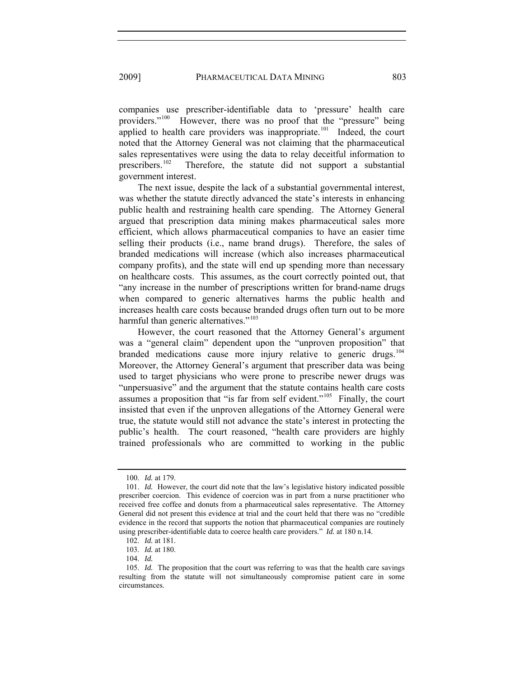companies use prescriber-identifiable data to 'pressure' health care providers."<sup>100</sup> However, there was no proof that the "pressure" being applied to health care providers was inappropriate.<sup>101</sup> Indeed, the court noted that the Attorney General was not claiming that the pharmaceutical sales representatives were using the data to relay deceitful information to prescribers.<sup>102</sup> Therefore, the statute did not support a substantial government interest.

The next issue, despite the lack of a substantial governmental interest, was whether the statute directly advanced the state's interests in enhancing public health and restraining health care spending. The Attorney General argued that prescription data mining makes pharmaceutical sales more efficient, which allows pharmaceutical companies to have an easier time selling their products (i.e., name brand drugs). Therefore, the sales of branded medications will increase (which also increases pharmaceutical company profits), and the state will end up spending more than necessary on healthcare costs. This assumes, as the court correctly pointed out, that "any increase in the number of prescriptions written for brand-name drugs when compared to generic alternatives harms the public health and increases health care costs because branded drugs often turn out to be more harmful than generic alternatives."<sup>103</sup>

However, the court reasoned that the Attorney General's argument was a "general claim" dependent upon the "unproven proposition" that branded medications cause more injury relative to generic drugs.<sup>104</sup> Moreover, the Attorney General's argument that prescriber data was being used to target physicians who were prone to prescribe newer drugs was "unpersuasive" and the argument that the statute contains health care costs assumes a proposition that "is far from self evident."<sup>105</sup> Finally, the court insisted that even if the unproven allegations of the Attorney General were true, the statute would still not advance the state's interest in protecting the public's health. The court reasoned, "health care providers are highly trained professionals who are committed to working in the public

<sup>100.</sup> *Id.* at 179.

<sup>101.</sup> *Id.* However, the court did note that the law's legislative history indicated possible prescriber coercion. This evidence of coercion was in part from a nurse practitioner who received free coffee and donuts from a pharmaceutical sales representative. The Attorney General did not present this evidence at trial and the court held that there was no "credible evidence in the record that supports the notion that pharmaceutical companies are routinely using prescriber-identifiable data to coerce health care providers." *Id.* at 180 n.14.

<sup>102.</sup> *Id.* at 181.

<sup>103.</sup> *Id.* at 180.

<sup>104.</sup> *Id.*

<sup>105.</sup> *Id.* The proposition that the court was referring to was that the health care savings resulting from the statute will not simultaneously compromise patient care in some circumstances.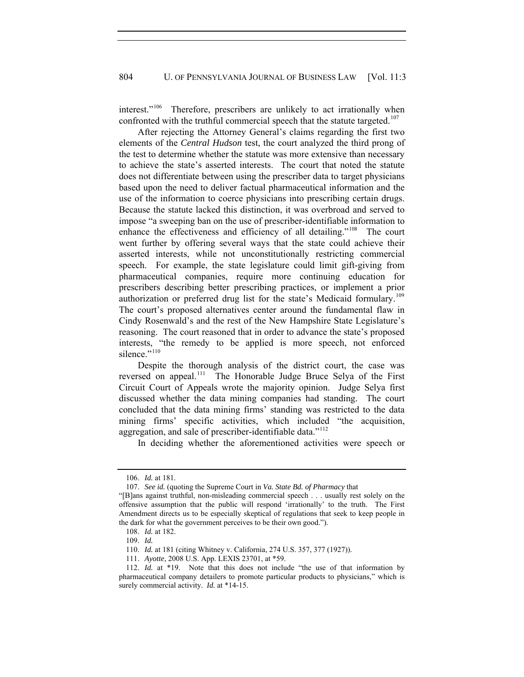interest."<sup>106</sup> Therefore, prescribers are unlikely to act irrationally when confronted with the truthful commercial speech that the statute targeted.<sup>107</sup>

After rejecting the Attorney General's claims regarding the first two elements of the *Central Hudson* test, the court analyzed the third prong of the test to determine whether the statute was more extensive than necessary to achieve the state's asserted interests. The court that noted the statute does not differentiate between using the prescriber data to target physicians based upon the need to deliver factual pharmaceutical information and the use of the information to coerce physicians into prescribing certain drugs. Because the statute lacked this distinction, it was overbroad and served to impose "a sweeping ban on the use of prescriber-identifiable information to enhance the effectiveness and efficiency of all detailing."<sup>108</sup> The court went further by offering several ways that the state could achieve their asserted interests, while not unconstitutionally restricting commercial speech. For example, the state legislature could limit gift-giving from pharmaceutical companies, require more continuing education for prescribers describing better prescribing practices, or implement a prior authorization or preferred drug list for the state's Medicaid formulary.<sup>109</sup> The court's proposed alternatives center around the fundamental flaw in Cindy Rosenwald's and the rest of the New Hampshire State Legislature's reasoning. The court reasoned that in order to advance the state's proposed interests, "the remedy to be applied is more speech, not enforced silence."<sup>110</sup>

Despite the thorough analysis of the district court, the case was reversed on appeal.<sup>111</sup> The Honorable Judge Bruce Selya of the First Circuit Court of Appeals wrote the majority opinion. Judge Selya first discussed whether the data mining companies had standing. The court concluded that the data mining firms' standing was restricted to the data mining firms' specific activities, which included "the acquisition, aggregation, and sale of prescriber-identifiable data."<sup>112</sup>

In deciding whether the aforementioned activities were speech or

<sup>106.</sup> *Id.* at 181.

<sup>107.</sup> *See id.* (quoting the Supreme Court in *Va. State Bd. of Pharmacy* that

<sup>&</sup>quot;[B]ans against truthful, non-misleading commercial speech . . . usually rest solely on the offensive assumption that the public will respond 'irrationally' to the truth. The First Amendment directs us to be especially skeptical of regulations that seek to keep people in the dark for what the government perceives to be their own good.").

<sup>108.</sup> *Id.* at 182.

<sup>109.</sup> *Id.*

<sup>110.</sup> *Id.* at 181 (citing Whitney v. California, 274 U.S. 357, 377 (1927)).

<sup>111.</sup> *Ayotte*, 2008 U.S. App. LEXIS 23701, at \*59.

<sup>112.</sup> *Id.* at \*19. Note that this does not include "the use of that information by pharmaceutical company detailers to promote particular products to physicians," which is surely commercial activity. *Id.* at \*14-15.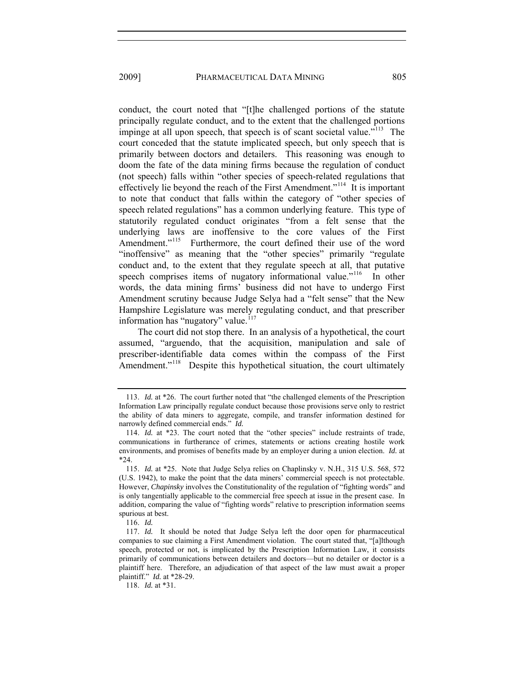conduct, the court noted that "[t]he challenged portions of the statute principally regulate conduct, and to the extent that the challenged portions impinge at all upon speech, that speech is of scant societal value."<sup>113</sup> The court conceded that the statute implicated speech, but only speech that is primarily between doctors and detailers. This reasoning was enough to doom the fate of the data mining firms because the regulation of conduct (not speech) falls within "other species of speech-related regulations that effectively lie beyond the reach of the First Amendment."114 It is important to note that conduct that falls within the category of "other species of speech related regulations" has a common underlying feature. This type of statutorily regulated conduct originates "from a felt sense that the underlying laws are inoffensive to the core values of the First Amendment."<sup>115</sup> Furthermore, the court defined their use of the word "inoffensive" as meaning that the "other species" primarily "regulate conduct and, to the extent that they regulate speech at all, that putative speech comprises items of nugatory informational value."<sup>116</sup> In other words, the data mining firms' business did not have to undergo First Amendment scrutiny because Judge Selya had a "felt sense" that the New Hampshire Legislature was merely regulating conduct, and that prescriber information has "nugatory" value.<sup>117</sup>

The court did not stop there. In an analysis of a hypothetical, the court assumed, "arguendo, that the acquisition, manipulation and sale of prescriber-identifiable data comes within the compass of the First Amendment."<sup>118</sup> Despite this hypothetical situation, the court ultimately

<sup>113.</sup> *Id.* at \*26. The court further noted that "the challenged elements of the Prescription Information Law principally regulate conduct because those provisions serve only to restrict the ability of data miners to aggregate, compile, and transfer information destined for narrowly defined commercial ends." *Id.* 

<sup>114.</sup> *Id.* at \*23. The court noted that the "other species" include restraints of trade, communications in furtherance of crimes, statements or actions creating hostile work environments, and promises of benefits made by an employer during a union election. *Id.* at \*24.

<sup>115.</sup> *Id.* at \*25. Note that Judge Selya relies on Chaplinsky v. N.H., 315 U.S. 568, 572 (U.S. 1942), to make the point that the data miners' commercial speech is not protectable. However, *Chapinsky* involves the Constitutionality of the regulation of "fighting words" and is only tangentially applicable to the commercial free speech at issue in the present case. In addition, comparing the value of "fighting words" relative to prescription information seems spurious at best.

<sup>116.</sup> *Id.*

<sup>117.</sup> *Id.* It should be noted that Judge Selya left the door open for pharmaceutical companies to sue claiming a First Amendment violation. The court stated that, "[a]lthough speech, protected or not, is implicated by the Prescription Information Law, it consists primarily of communications between detailers and doctors—but no detailer or doctor is a plaintiff here. Therefore, an adjudication of that aspect of the law must await a proper plaintiff." *Id.* at \*28-29.

<sup>118.</sup> *Id.* at \*31.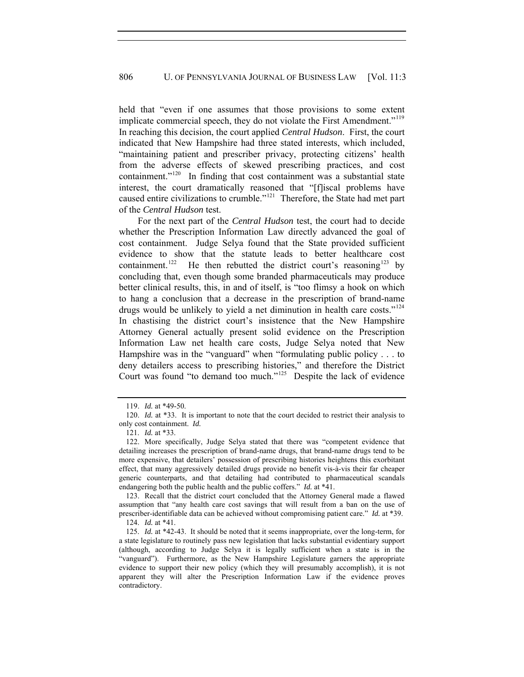held that "even if one assumes that those provisions to some extent implicate commercial speech, they do not violate the First Amendment."<sup>119</sup> In reaching this decision, the court applied *Central Hudson*. First, the court indicated that New Hampshire had three stated interests, which included, "maintaining patient and prescriber privacy, protecting citizens' health from the adverse effects of skewed prescribing practices, and cost containment."<sup>120</sup> In finding that cost containment was a substantial state interest, the court dramatically reasoned that "[f]iscal problems have caused entire civilizations to crumble."121 Therefore, the State had met part of the *Central Hudson* test.

For the next part of the *Central Hudson* test, the court had to decide whether the Prescription Information Law directly advanced the goal of cost containment. Judge Selya found that the State provided sufficient evidence to show that the statute leads to better healthcare cost containment.<sup>122</sup> He then rebutted the district court's reasoning<sup>123</sup> by concluding that, even though some branded pharmaceuticals may produce better clinical results, this, in and of itself, is "too flimsy a hook on which to hang a conclusion that a decrease in the prescription of brand-name drugs would be unlikely to yield a net diminution in health care costs."<sup>124</sup> In chastising the district court's insistence that the New Hampshire Attorney General actually present solid evidence on the Prescription Information Law net health care costs, Judge Selya noted that New Hampshire was in the "vanguard" when "formulating public policy . . . to deny detailers access to prescribing histories," and therefore the District Court was found "to demand too much."125 Despite the lack of evidence

 123. Recall that the district court concluded that the Attorney General made a flawed assumption that "any health care cost savings that will result from a ban on the use of prescriber-identifiable data can be achieved without compromising patient care." *Id.* at \*39.

<sup>119.</sup> *Id.* at \*49-50.

<sup>120.</sup> *Id.* at \*33. It is important to note that the court decided to restrict their analysis to only cost containment. *Id.* 

<sup>121.</sup> *Id.* at \*33.

 <sup>122.</sup> More specifically, Judge Selya stated that there was "competent evidence that detailing increases the prescription of brand-name drugs, that brand-name drugs tend to be more expensive, that detailers' possession of prescribing histories heightens this exorbitant effect, that many aggressively detailed drugs provide no benefit vis-à-vis their far cheaper generic counterparts, and that detailing had contributed to pharmaceutical scandals endangering both the public health and the public coffers." *Id.* at \*41.

<sup>124.</sup> *Id.* at \*41.

<sup>125.</sup> *Id.* at \*42-43. It should be noted that it seems inappropriate, over the long-term, for a state legislature to routinely pass new legislation that lacks substantial evidentiary support (although, according to Judge Selya it is legally sufficient when a state is in the "vanguard"). Furthermore, as the New Hampshire Legislature garners the appropriate evidence to support their new policy (which they will presumably accomplish), it is not apparent they will alter the Prescription Information Law if the evidence proves contradictory.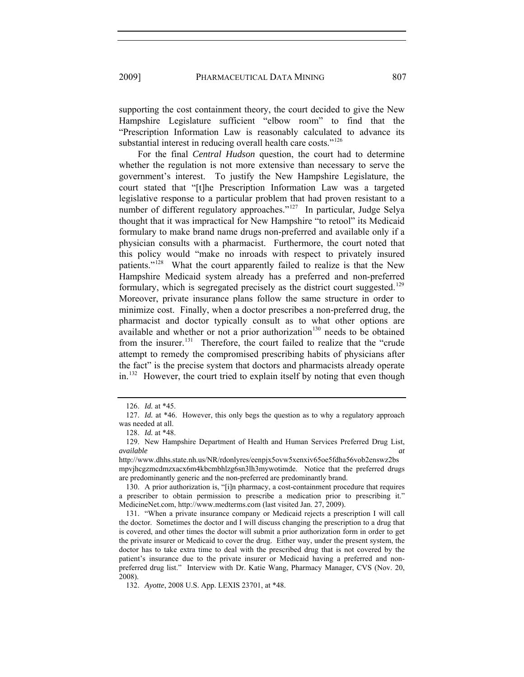supporting the cost containment theory, the court decided to give the New Hampshire Legislature sufficient "elbow room" to find that the "Prescription Information Law is reasonably calculated to advance its substantial interest in reducing overall health care costs."<sup>126</sup>

For the final *Central Hudson* question, the court had to determine whether the regulation is not more extensive than necessary to serve the government's interest. To justify the New Hampshire Legislature, the court stated that "[t]he Prescription Information Law was a targeted legislative response to a particular problem that had proven resistant to a number of different regulatory approaches."<sup>127</sup> In particular, Judge Selya thought that it was impractical for New Hampshire "to retool" its Medicaid formulary to make brand name drugs non-preferred and available only if a physician consults with a pharmacist. Furthermore, the court noted that this policy would "make no inroads with respect to privately insured patients."<sup>128</sup> What the court apparently failed to realize is that the New Hampshire Medicaid system already has a preferred and non-preferred formulary, which is segregated precisely as the district court suggested.<sup>129</sup> Moreover, private insurance plans follow the same structure in order to minimize cost. Finally, when a doctor prescribes a non-preferred drug, the pharmacist and doctor typically consult as to what other options are available and whether or not a prior authorization<sup>130</sup> needs to be obtained from the insurer.<sup>131</sup> Therefore, the court failed to realize that the "crude" attempt to remedy the compromised prescribing habits of physicians after the fact" is the precise system that doctors and pharmacists already operate in.<sup>132</sup> However, the court tried to explain itself by noting that even though

<sup>126.</sup> *Id.* at \*45.

<sup>127.</sup> *Id.* at \*46. However, this only begs the question as to why a regulatory approach was needed at all.

<sup>128.</sup> *Id.* at \*48.

 <sup>129.</sup> New Hampshire Department of Health and Human Services Preferred Drug List, *available at*

http://www.dhhs.state.nh.us/NR/rdonlyres/eenpjx5ovw5xenxiv65oe5fdha56vob2enswz2bs mpvjhcgzmcdmzxacx6m4kbcmbhlzg6sn3lh3mywotimde. Notice that the preferred drugs are predominantly generic and the non-preferred are predominantly brand.

 <sup>130.</sup> A prior authorization is, "[i]n pharmacy, a cost-containment procedure that requires a prescriber to obtain permission to prescribe a medication prior to prescribing it." MedicineNet.com, http://www.medterms.com (last visited Jan. 27, 2009).

 <sup>131. &</sup>quot;When a private insurance company or Medicaid rejects a prescription I will call the doctor. Sometimes the doctor and I will discuss changing the prescription to a drug that is covered, and other times the doctor will submit a prior authorization form in order to get the private insurer or Medicaid to cover the drug. Either way, under the present system, the doctor has to take extra time to deal with the prescribed drug that is not covered by the patient's insurance due to the private insurer or Medicaid having a preferred and nonpreferred drug list." Interview with Dr. Katie Wang, Pharmacy Manager, CVS (Nov. 20, 2008).

<sup>132.</sup> *Ayotte*, 2008 U.S. App. LEXIS 23701, at \*48.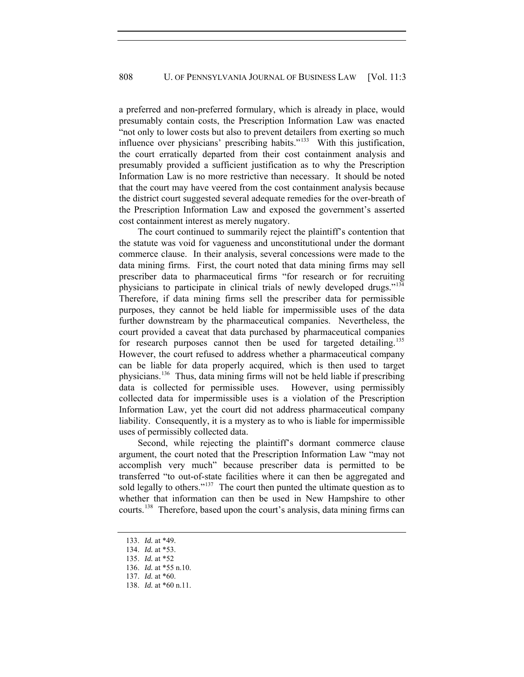a preferred and non-preferred formulary, which is already in place, would presumably contain costs, the Prescription Information Law was enacted "not only to lower costs but also to prevent detailers from exerting so much influence over physicians' prescribing habits."133 With this justification, the court erratically departed from their cost containment analysis and presumably provided a sufficient justification as to why the Prescription Information Law is no more restrictive than necessary. It should be noted that the court may have veered from the cost containment analysis because the district court suggested several adequate remedies for the over-breath of the Prescription Information Law and exposed the government's asserted cost containment interest as merely nugatory.

The court continued to summarily reject the plaintiff's contention that the statute was void for vagueness and unconstitutional under the dormant commerce clause. In their analysis, several concessions were made to the data mining firms. First, the court noted that data mining firms may sell prescriber data to pharmaceutical firms "for research or for recruiting physicians to participate in clinical trials of newly developed drugs."134 Therefore, if data mining firms sell the prescriber data for permissible purposes, they cannot be held liable for impermissible uses of the data further downstream by the pharmaceutical companies. Nevertheless, the court provided a caveat that data purchased by pharmaceutical companies for research purposes cannot then be used for targeted detailing.<sup>135</sup> However, the court refused to address whether a pharmaceutical company can be liable for data properly acquired, which is then used to target physicians.136 Thus, data mining firms will not be held liable if prescribing data is collected for permissible uses. However, using permissibly collected data for impermissible uses is a violation of the Prescription Information Law, yet the court did not address pharmaceutical company liability. Consequently, it is a mystery as to who is liable for impermissible uses of permissibly collected data.

Second, while rejecting the plaintiff's dormant commerce clause argument, the court noted that the Prescription Information Law "may not accomplish very much" because prescriber data is permitted to be transferred "to out-of-state facilities where it can then be aggregated and sold legally to others."<sup>137</sup> The court then punted the ultimate question as to whether that information can then be used in New Hampshire to other courts.138 Therefore, based upon the court's analysis, data mining firms can

<sup>133.</sup> *Id.* at \*49.

<sup>134.</sup> *Id.* at \*53.

<sup>135.</sup> *Id.* at \*52

<sup>136.</sup> *Id.* at \*55 n.10.

<sup>137.</sup> *Id.* at \*60.

<sup>138.</sup> *Id.* at \*60 n.11.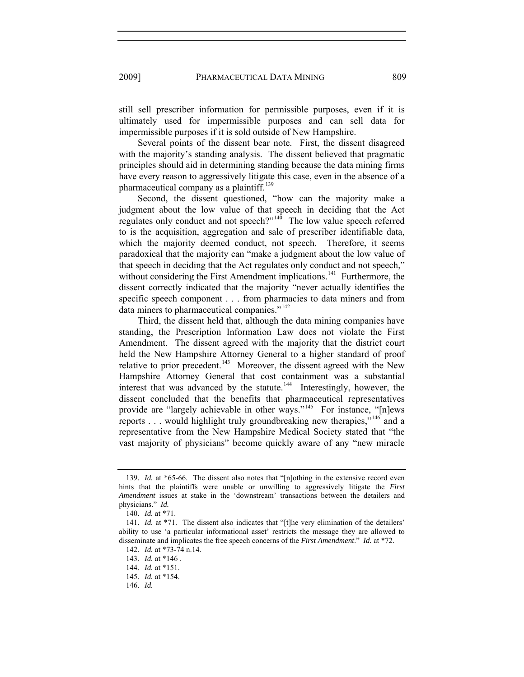still sell prescriber information for permissible purposes, even if it is ultimately used for impermissible purposes and can sell data for impermissible purposes if it is sold outside of New Hampshire.

Several points of the dissent bear note. First, the dissent disagreed with the majority's standing analysis. The dissent believed that pragmatic principles should aid in determining standing because the data mining firms have every reason to aggressively litigate this case, even in the absence of a pharmaceutical company as a plaintiff.<sup>139</sup>

Second, the dissent questioned, "how can the majority make a judgment about the low value of that speech in deciding that the Act regulates only conduct and not speech?" $140$  The low value speech referred to is the acquisition, aggregation and sale of prescriber identifiable data, which the majority deemed conduct, not speech. Therefore, it seems paradoxical that the majority can "make a judgment about the low value of that speech in deciding that the Act regulates only conduct and not speech," without considering the First Amendment implications.<sup>141</sup> Furthermore, the dissent correctly indicated that the majority "never actually identifies the specific speech component . . . from pharmacies to data miners and from data miners to pharmaceutical companies."<sup>142</sup>

Third, the dissent held that, although the data mining companies have standing, the Prescription Information Law does not violate the First Amendment. The dissent agreed with the majority that the district court held the New Hampshire Attorney General to a higher standard of proof relative to prior precedent.<sup>143</sup> Moreover, the dissent agreed with the New Hampshire Attorney General that cost containment was a substantial interest that was advanced by the statute. $144$  Interestingly, however, the dissent concluded that the benefits that pharmaceutical representatives provide are "largely achievable in other ways."<sup>145</sup> For instance, "[n]ews reports  $\ldots$  would highlight truly groundbreaking new therapies,"<sup>146</sup> and a representative from the New Hampshire Medical Society stated that "the vast majority of physicians" become quickly aware of any "new miracle

<sup>139.</sup> *Id.* at \*65-66. The dissent also notes that "[n]othing in the extensive record even hints that the plaintiffs were unable or unwilling to aggressively litigate the *First Amendment* issues at stake in the 'downstream' transactions between the detailers and physicians." *Id.*

<sup>140.</sup> *Id.* at \*71.

<sup>141.</sup> *Id.* at \*71. The dissent also indicates that "[t]he very elimination of the detailers' ability to use 'a particular informational asset' restricts the message they are allowed to disseminate and implicates the free speech concerns of the *First Amendment*." *Id.* at \*72.

<sup>142.</sup> *Id.* at \*73-74 n.14.

<sup>143.</sup> *Id.* at \*146 .

<sup>144.</sup> *Id.* at \*151.

<sup>145.</sup> *Id.* at \*154.

<sup>146.</sup> *Id.*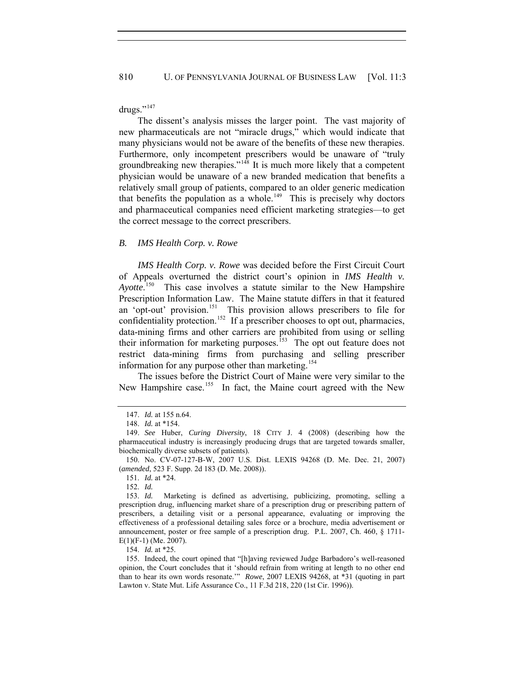drugs."<sup>147</sup>

The dissent's analysis misses the larger point. The vast majority of new pharmaceuticals are not "miracle drugs," which would indicate that many physicians would not be aware of the benefits of these new therapies. Furthermore, only incompetent prescribers would be unaware of "truly groundbreaking new therapies."<sup>148</sup> It is much more likely that a competent physician would be unaware of a new branded medication that benefits a relatively small group of patients, compared to an older generic medication that benefits the population as a whole.<sup>149</sup> This is precisely why doctors and pharmaceutical companies need efficient marketing strategies—to get the correct message to the correct prescribers.

#### *B. IMS Health Corp. v. Rowe*

*IMS Health Corp. v. Rowe* was decided before the First Circuit Court of Appeals overturned the district court's opinion in *IMS Health v. Ayotte*. 150 This case involves a statute similar to the New Hampshire Prescription Information Law. The Maine statute differs in that it featured an 'opt-out' provision.<sup>151</sup> This provision allows prescribers to file for confidentiality protection.<sup>152</sup> If a prescriber chooses to opt out, pharmacies, data-mining firms and other carriers are prohibited from using or selling their information for marketing purposes.<sup>153</sup> The opt out feature does not restrict data-mining firms from purchasing and selling prescriber information for any purpose other than marketing.<sup>154</sup>

The issues before the District Court of Maine were very similar to the New Hampshire case.<sup>155</sup> In fact, the Maine court agreed with the New

154. *Id.* at \*25.

<sup>147.</sup> *Id.* at 155 n.64.

<sup>148.</sup> *Id.* at \*154.

<sup>149.</sup> *See* Huber, *Curing Diversity*, 18 CITY J. 4 (2008) (describing how the pharmaceutical industry is increasingly producing drugs that are targeted towards smaller, biochemically diverse subsets of patients).

 <sup>150.</sup> No. CV-07-127-B-W, 2007 U.S. Dist. LEXIS 94268 (D. Me. Dec. 21, 2007) (*amended*, 523 F. Supp. 2d 183 (D. Me. 2008)).

<sup>151.</sup> *Id.* at \*24.

<sup>152.</sup> *Id.*

<sup>153.</sup> *Id.* Marketing is defined as advertising, publicizing, promoting, selling a prescription drug, influencing market share of a prescription drug or prescribing pattern of prescribers, a detailing visit or a personal appearance, evaluating or improving the effectiveness of a professional detailing sales force or a brochure, media advertisement or announcement, poster or free sample of a prescription drug. P.L. 2007, Ch. 460, § 1711- E(1)(F-1) (Me. 2007).

 <sup>155.</sup> Indeed, the court opined that "[h]aving reviewed Judge Barbadoro's well-reasoned opinion, the Court concludes that it 'should refrain from writing at length to no other end than to hear its own words resonate.'" *Rowe*, 2007 LEXIS 94268, at \*31 (quoting in part Lawton v. State Mut. Life Assurance Co., 11 F.3d 218, 220 (1st Cir. 1996)).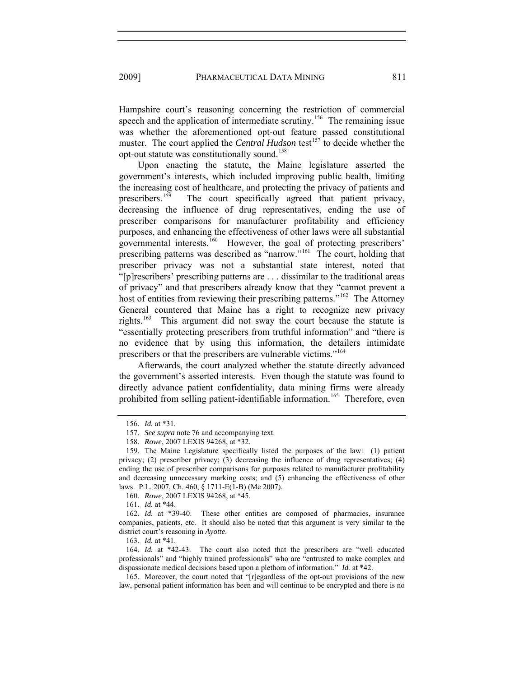Hampshire court's reasoning concerning the restriction of commercial speech and the application of intermediate scrutiny.<sup>156</sup> The remaining issue was whether the aforementioned opt-out feature passed constitutional muster. The court applied the *Central Hudson* test<sup>157</sup> to decide whether the opt-out statute was constitutionally sound.<sup>158</sup>

prescribers or that the prescribers are vulnerable victims."<sup>164</sup> Upon enacting the statute, the Maine legislature asserted the government's interests, which included improving public health, limiting the increasing cost of healthcare, and protecting the privacy of patients and prescribers.159 The court specifically agreed that patient privacy, decreasing the influence of drug representatives, ending the use of prescriber comparisons for manufacturer profitability and efficiency purposes, and enhancing the effectiveness of other laws were all substantial governmental interests.160 However, the goal of protecting prescribers' prescribing patterns was described as "narrow."161 The court, holding that prescriber privacy was not a substantial state interest, noted that "[p]rescribers' prescribing patterns are . . . dissimilar to the traditional areas of privacy" and that prescribers already know that they "cannot prevent a host of entities from reviewing their prescribing patterns."<sup>162</sup> The Attorney General countered that Maine has a right to recognize new privacy rights.163 This argument did not sway the court because the statute is "essentially protecting prescribers from truthful information" and "there is no evidence that by using this information, the detailers intimidate

Afterwards, the court analyzed whether the statute directly advanced the government's asserted interests. Even though the statute was found to directly advance patient confidentiality, data mining firms were already prohibited from selling patient-identifiable information.<sup>165</sup> Therefore, even

<sup>156.</sup> *Id.* at \*31.

<sup>157.</sup> *See supra* note 76 and accompanying text.

<sup>158.</sup> *Rowe*, 2007 LEXIS 94268, at \*32.

 <sup>159.</sup> The Maine Legislature specifically listed the purposes of the law: (1) patient privacy; (2) prescriber privacy; (3) decreasing the influence of drug representatives; (4) ending the use of prescriber comparisons for purposes related to manufacturer profitability and decreasing unnecessary marking costs; and (5) enhancing the effectiveness of other laws. P.L. 2007, Ch. 460, § 1711-E(1-B) (Me 2007).

<sup>160.</sup> *Rowe*, 2007 LEXIS 94268, at \*45.

<sup>161.</sup> *Id.* at \*44.

<sup>162.</sup> *Id.* at \*39-40. These other entities are composed of pharmacies, insurance companies, patients, etc. It should also be noted that this argument is very similar to the district court's reasoning in *Ayotte*.

<sup>163.</sup> *Id.* at \*41.

<sup>164.</sup> *Id.* at \*42-43. The court also noted that the prescribers are "well educated professionals" and "highly trained professionals" who are "entrusted to make complex and dispassionate medical decisions based upon a plethora of information." *Id.* at \*42.

 <sup>165.</sup> Moreover, the court noted that "[r]egardless of the opt-out provisions of the new law, personal patient information has been and will continue to be encrypted and there is no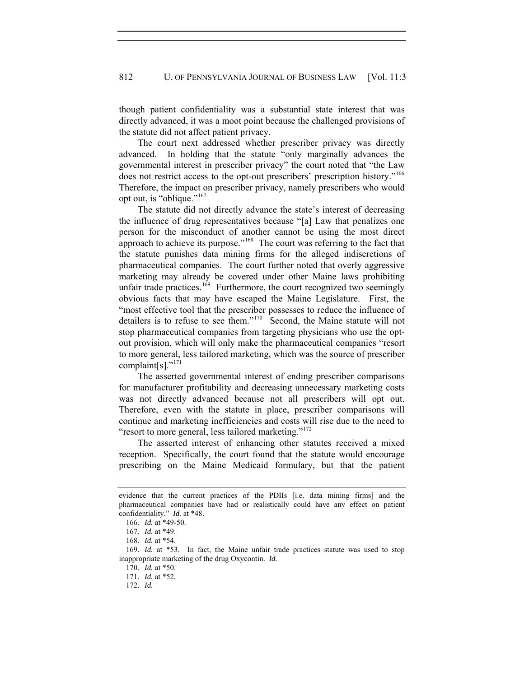though patient confidentiality was a substantial state interest that was directly advanced, it was a moot point because the challenged provisions of the statute did not affect patient privacy.

The court next addressed whether prescriber privacy was directly advanced. In holding that the statute "only marginally advances the governmental interest in prescriber privacy" the court noted that "the Law does not restrict access to the opt-out prescribers' prescription history."<sup>166</sup> Therefore, the impact on prescriber privacy, namely prescribers who would opt out, is "oblique."<sup>167</sup>

The statute did not directly advance the state's interest of decreasing the influence of drug representatives because "[a] Law that penalizes one person for the misconduct of another cannot be using the most direct approach to achieve its purpose."<sup>168</sup> The court was referring to the fact that the statute punishes data mining firms for the alleged indiscretions of pharmaceutical companies. The court further noted that overly aggressive marketing may already be covered under other Maine laws prohibiting unfair trade practices.<sup>169</sup> Furthermore, the court recognized two seemingly obvious facts that may have escaped the Maine Legislature. First, the "most effective tool that the prescriber possesses to reduce the influence of detailers is to refuse to see them."<sup>170</sup> Second, the Maine statute will not stop pharmaceutical companies from targeting physicians who use the optout provision, which will only make the pharmaceutical companies "resort to more general, less tailored marketing, which was the source of prescriber complaint[s]."<sup>171</sup>

The asserted governmental interest of ending prescriber comparisons for manufacturer profitability and decreasing unnecessary marketing costs was not directly advanced because not all prescribers will opt out. Therefore, even with the statute in place, prescriber comparisons will continue and marketing inefficiencies and costs will rise due to the need to "resort to more general, less tailored marketing."<sup>172</sup>

The asserted interest of enhancing other statutes received a mixed reception. Specifically, the court found that the statute would encourage prescribing on the Maine Medicaid formulary, but that the patient

evidence that the current practices of the PDIIs [i.e. data mining firms] and the pharmaceutical companies have had or realistically could have any effect on patient confidentiality." *Id.* at \*48.

<sup>166.</sup> *Id.* at \*49-50.

<sup>167.</sup> *Id.* at \*49.

<sup>168.</sup> *Id.* at \*54.

<sup>169.</sup> *Id.* at \*53. In fact, the Maine unfair trade practices statute was used to stop inappropriate marketing of the drug Oxycontin. *Id.*

<sup>170.</sup> *Id.* at \*50.

<sup>171.</sup> *Id.* at \*52.

<sup>172.</sup> *Id.*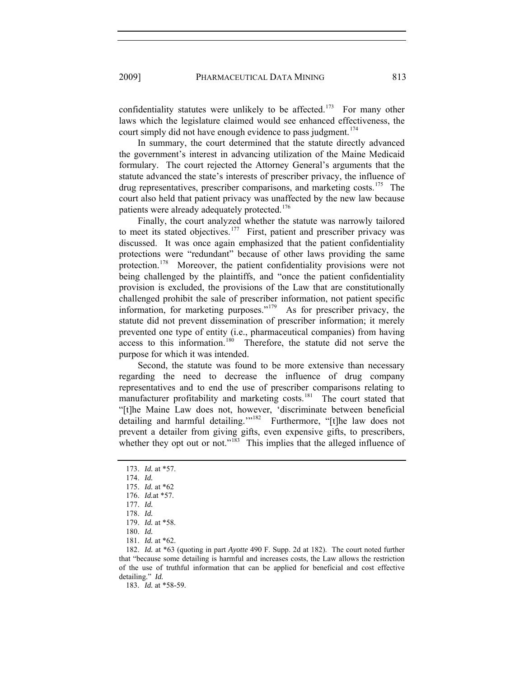confidentiality statutes were unlikely to be affected.<sup>173</sup> For many other laws which the legislature claimed would see enhanced effectiveness, the court simply did not have enough evidence to pass judgment.<sup>174</sup>

In summary, the court determined that the statute directly advanced the government's interest in advancing utilization of the Maine Medicaid formulary. The court rejected the Attorney General's arguments that the statute advanced the state's interests of prescriber privacy, the influence of drug representatives, prescriber comparisons, and marketing costs.<sup>175</sup> The court also held that patient privacy was unaffected by the new law because patients were already adequately protected.<sup>176</sup>

Finally, the court analyzed whether the statute was narrowly tailored to meet its stated objectives.<sup>177</sup> First, patient and prescriber privacy was discussed. It was once again emphasized that the patient confidentiality protections were "redundant" because of other laws providing the same protection.178 Moreover, the patient confidentiality provisions were not being challenged by the plaintiffs, and "once the patient confidentiality provision is excluded, the provisions of the Law that are constitutionally challenged prohibit the sale of prescriber information, not patient specific information, for marketing purposes."179 As for prescriber privacy, the statute did not prevent dissemination of prescriber information; it merely prevented one type of entity (i.e., pharmaceutical companies) from having access to this information.<sup>180</sup> Therefore, the statute did not serve the purpose for which it was intended.

Second, the statute was found to be more extensive than necessary regarding the need to decrease the influence of drug company representatives and to end the use of prescriber comparisons relating to manufacturer profitability and marketing costs. $181$  The court stated that "[t]he Maine Law does not, however, 'discriminate between beneficial detailing and harmful detailing."<sup>182</sup> Furthermore, "[t]he law does not prevent a detailer from giving gifts, even expensive gifts, to prescribers, whether they opt out or not."<sup>183</sup> This implies that the alleged influence of

183. *Id.* at \*58-59.

<sup>173.</sup> *Id.* at \*57.

<sup>174.</sup> *Id.*

<sup>175.</sup> *Id.* at \*62

<sup>176.</sup> *Id.*at \*57.

<sup>177.</sup> *Id.*

<sup>178.</sup> *Id.*

<sup>179.</sup> *Id.* at \*58.

<sup>180.</sup> *Id.*

<sup>181.</sup> *Id.* at \*62.

<sup>182.</sup> *Id.* at \*63 (quoting in part *Ayotte* 490 F. Supp. 2d at 182). The court noted further that "because some detailing is harmful and increases costs, the Law allows the restriction of the use of truthful information that can be applied for beneficial and cost effective detailing." *Id.*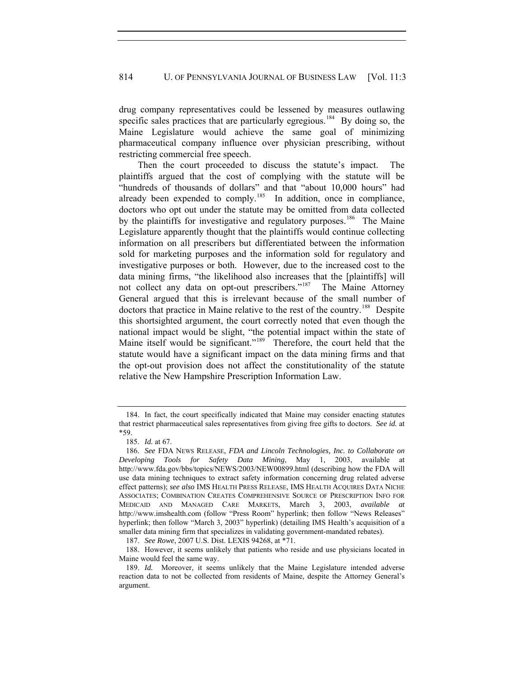drug company representatives could be lessened by measures outlawing specific sales practices that are particularly egregious.<sup>184</sup> By doing so, the Maine Legislature would achieve the same goal of minimizing pharmaceutical company influence over physician prescribing, without restricting commercial free speech.

Then the court proceeded to discuss the statute's impact. The plaintiffs argued that the cost of complying with the statute will be "hundreds of thousands of dollars" and that "about 10,000 hours" had already been expended to comply.<sup>185</sup> In addition, once in compliance, doctors who opt out under the statute may be omitted from data collected by the plaintiffs for investigative and regulatory purposes.<sup>186</sup> The Maine Legislature apparently thought that the plaintiffs would continue collecting information on all prescribers but differentiated between the information sold for marketing purposes and the information sold for regulatory and investigative purposes or both. However, due to the increased cost to the data mining firms, "the likelihood also increases that the [plaintiffs] will not collect any data on opt-out prescribers."<sup>187</sup> The Maine Attorney General argued that this is irrelevant because of the small number of doctors that practice in Maine relative to the rest of the country.<sup>188</sup> Despite this shortsighted argument, the court correctly noted that even though the national impact would be slight, "the potential impact within the state of Maine itself would be significant."<sup>189</sup> Therefore, the court held that the statute would have a significant impact on the data mining firms and that the opt-out provision does not affect the constitutionality of the statute relative the New Hampshire Prescription Information Law.

 <sup>184.</sup> In fact, the court specifically indicated that Maine may consider enacting statutes that restrict pharmaceutical sales representatives from giving free gifts to doctors. *See id.* at \*59.

<sup>185.</sup> *Id.* at 67.

<sup>186.</sup> *See* FDA NEWS RELEASE, *FDA and Lincoln Technologies, Inc. to Collaborate on Developing Tools for Safety Data Mining*, May 1, 2003, available at http://www.fda.gov/bbs/topics/NEWS/2003/NEW00899.html (describing how the FDA will use data mining techniques to extract safety information concerning drug related adverse effect patterns); *see also* IMS HEALTH PRESS RELEASE, IMS HEALTH ACQUIRES DATA NICHE ASSOCIATES; COMBINATION CREATES COMPREHENSIVE SOURCE OF PRESCRIPTION INFO FOR MEDICAID AND MANAGED CARE MARKETS, March 3, 2003, *available at* http://www.imshealth.com (follow "Press Room" hyperlink; then follow "News Releases" hyperlink; then follow "March 3, 2003" hyperlink) (detailing IMS Health's acquisition of a smaller data mining firm that specializes in validating government-mandated rebates).

<sup>187.</sup> *See Rowe*, 2007 U.S. Dist. LEXIS 94268, at \*71.

 <sup>188.</sup> However, it seems unlikely that patients who reside and use physicians located in Maine would feel the same way.

<sup>189.</sup> *Id.* Moreover, it seems unlikely that the Maine Legislature intended adverse reaction data to not be collected from residents of Maine, despite the Attorney General's argument.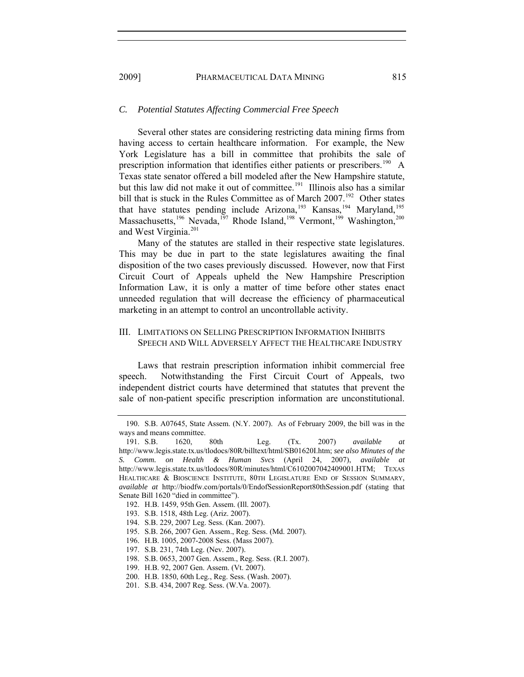#### *C. Potential Statutes Affecting Commercial Free Speech*

Several other states are considering restricting data mining firms from having access to certain healthcare information. For example, the New York Legislature has a bill in committee that prohibits the sale of prescription information that identifies either patients or prescribers.<sup>190</sup> A Texas state senator offered a bill modeled after the New Hampshire statute, but this law did not make it out of committee.<sup>191</sup> Illinois also has a similar bill that is stuck in the Rules Committee as of March 2007.<sup>192</sup> Other states that have statutes pending include Arizona,<sup>193</sup> Kansas,<sup>194</sup> Maryland,<sup>195</sup> Massachusetts,<sup>196</sup> Nevada,<sup>197</sup> Rhode Island,<sup>198</sup> Vermont,<sup>199</sup> Washington,<sup>200</sup> and West Virginia.<sup>201</sup>

Many of the statutes are stalled in their respective state legislatures. This may be due in part to the state legislatures awaiting the final disposition of the two cases previously discussed. However, now that First Circuit Court of Appeals upheld the New Hampshire Prescription Information Law, it is only a matter of time before other states enact unneeded regulation that will decrease the efficiency of pharmaceutical marketing in an attempt to control an uncontrollable activity.

## III. LIMITATIONS ON SELLING PRESCRIPTION INFORMATION INHIBITS SPEECH AND WILL ADVERSELY AFFECT THE HEALTHCARE INDUSTRY

Laws that restrain prescription information inhibit commercial free speech. Notwithstanding the First Circuit Court of Appeals, two independent district courts have determined that statutes that prevent the sale of non-patient specific prescription information are unconstitutional.

 <sup>190.</sup> S.B. A07645, State Assem. (N.Y. 2007). As of February 2009, the bill was in the ways and means committee.

 <sup>191.</sup> S.B. 1620, 80th Leg. (Tx. 2007) *available at* http://www.legis.state.tx.us/tlodocs/80R/billtext/html/SB01620I.htm; *see also Minutes of the S. Comm. on Health & Human Svcs* (April 24, 2007), *available at* http://www.legis.state.tx.us/tlodocs/80R/minutes/html/C6102007042409001.HTM; TEXAS HEALTHCARE & BIOSCIENCE INSTITUTE, 80TH LEGISLATURE END OF SESSION SUMMARY, *available at* http://biodfw.com/portals/0/EndofSessionReport80thSession.pdf (stating that Senate Bill 1620 "died in committee").

 <sup>192.</sup> H.B. 1459, 95th Gen. Assem. (Ill. 2007).

 <sup>193.</sup> S.B. 1518, 48th Leg. (Ariz. 2007).

 <sup>194.</sup> S.B. 229, 2007 Leg. Sess. (Kan. 2007).

 <sup>195.</sup> S.B. 266, 2007 Gen. Assem., Reg. Sess. (Md. 2007).

 <sup>196.</sup> H.B. 1005, 2007-2008 Sess. (Mass 2007).

 <sup>197.</sup> S.B. 231, 74th Leg. (Nev. 2007).

 <sup>198.</sup> S.B. 0653, 2007 Gen. Assem., Reg. Sess. (R.I. 2007).

 <sup>199.</sup> H.B. 92, 2007 Gen. Assem. (Vt. 2007).

 <sup>200.</sup> H.B. 1850, 60th Leg., Reg. Sess. (Wash. 2007).

 <sup>201.</sup> S.B. 434, 2007 Reg. Sess. (W.Va. 2007).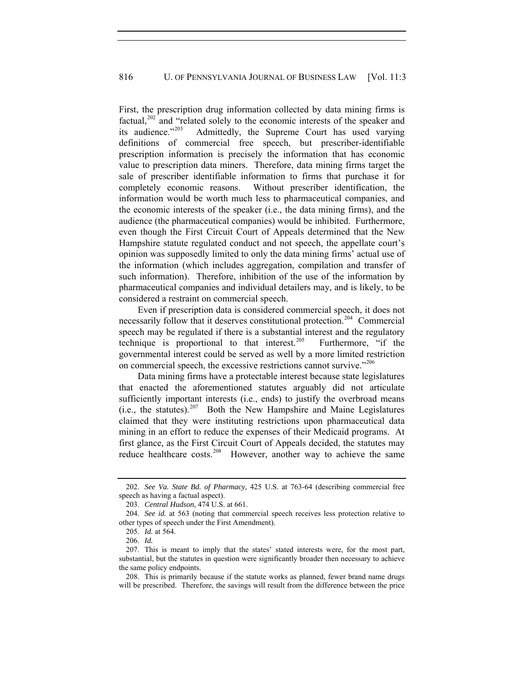First, the prescription drug information collected by data mining firms is factual, $202$  and "related solely to the economic interests of the speaker and its audience."203 Admittedly, the Supreme Court has used varying definitions of commercial free speech, but prescriber-identifiable prescription information is precisely the information that has economic value to prescription data miners. Therefore, data mining firms target the sale of prescriber identifiable information to firms that purchase it for completely economic reasons. Without prescriber identification, the information would be worth much less to pharmaceutical companies, and the economic interests of the speaker (i.e., the data mining firms), and the audience (the pharmaceutical companies) would be inhibited. Furthermore, even though the First Circuit Court of Appeals determined that the New Hampshire statute regulated conduct and not speech, the appellate court's opinion was supposedly limited to only the data mining firms' actual use of the information (which includes aggregation, compilation and transfer of such information). Therefore, inhibition of the use of the information by pharmaceutical companies and individual detailers may, and is likely, to be considered a restraint on commercial speech.

Even if prescription data is considered commercial speech, it does not necessarily follow that it deserves constitutional protection.204 Commercial speech may be regulated if there is a substantial interest and the regulatory technique is proportional to that interest.<sup>205</sup> Furthermore, "if the governmental interest could be served as well by a more limited restriction on commercial speech, the excessive restrictions cannot survive."<sup>206</sup>

Data mining firms have a protectable interest because state legislatures that enacted the aforementioned statutes arguably did not articulate sufficiently important interests (i.e., ends) to justify the overbroad means  $(i.e., the statutes).<sup>207</sup>$  Both the New Hampshire and Maine Legislatures claimed that they were instituting restrictions upon pharmaceutical data mining in an effort to reduce the expenses of their Medicaid programs. At first glance, as the First Circuit Court of Appeals decided, the statutes may reduce healthcare costs.<sup>208</sup> However, another way to achieve the same

<sup>202.</sup> *See Va. State Bd. of Pharmacy*, 425 U.S. at 763-64 (describing commercial free speech as having a factual aspect).

<sup>203.</sup> *Central Hudson*, 474 U.S. at 661.

<sup>204.</sup> *See id.* at 563 (noting that commercial speech receives less protection relative to other types of speech under the First Amendment).

<sup>205.</sup> *Id.* at 564.

<sup>206.</sup> *Id.*

 <sup>207.</sup> This is meant to imply that the states' stated interests were, for the most part, substantial, but the statutes in question were significantly broader then necessary to achieve the same policy endpoints.

 <sup>208.</sup> This is primarily because if the statute works as planned, fewer brand name drugs will be prescribed. Therefore, the savings will result from the difference between the price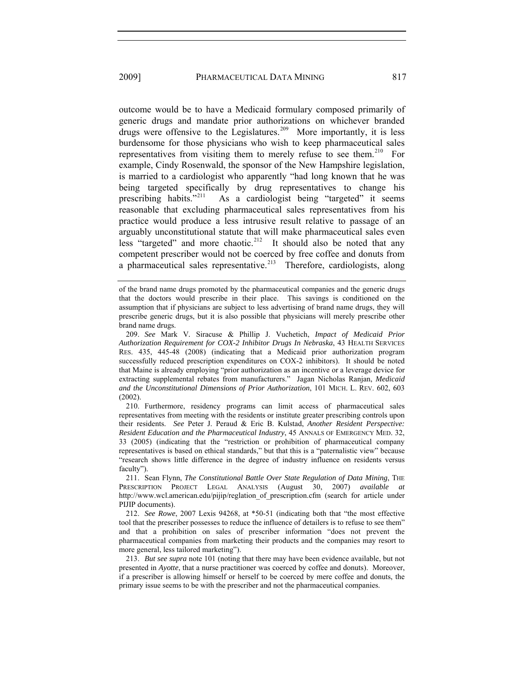outcome would be to have a Medicaid formulary composed primarily of generic drugs and mandate prior authorizations on whichever branded drugs were offensive to the Legislatures.<sup>209</sup> More importantly, it is less burdensome for those physicians who wish to keep pharmaceutical sales representatives from visiting them to merely refuse to see them.<sup>210</sup> For example, Cindy Rosenwald, the sponsor of the New Hampshire legislation, is married to a cardiologist who apparently "had long known that he was being targeted specifically by drug representatives to change his prescribing habits."<sup>211</sup> As a cardiologist being "targeted" it seems As a cardiologist being "targeted" it seems reasonable that excluding pharmaceutical sales representatives from his practice would produce a less intrusive result relative to passage of an arguably unconstitutional statute that will make pharmaceutical sales even less "targeted" and more chaotic.<sup>212</sup> It should also be noted that any competent prescriber would not be coerced by free coffee and donuts from a pharmaceutical sales representative.<sup>213</sup> Therefore, cardiologists, along

of the brand name drugs promoted by the pharmaceutical companies and the generic drugs that the doctors would prescribe in their place. This savings is conditioned on the assumption that if physicians are subject to less advertising of brand name drugs, they will prescribe generic drugs, but it is also possible that physicians will merely prescribe other brand name drugs.

209. *See* Mark V*.* Siracuse & Phillip J. Vuchetich, *Impact of Medicaid Prior Authorization Requirement for COX-2 Inhibitor Drugs In Nebraska*, 43 HEALTH SERVICES RES. 435, 445-48 (2008) (indicating that a Medicaid prior authorization program successfully reduced prescription expenditures on COX-2 inhibitors). It should be noted that Maine is already employing "prior authorization as an incentive or a leverage device for extracting supplemental rebates from manufacturers." Jagan Nicholas Ranjan, *Medicaid and the Unconstitutional Dimensions of Prior Authorization*, 101 MICH. L. REV. 602, 603 (2002).

 210. Furthermore, residency programs can limit access of pharmaceutical sales representatives from meeting with the residents or institute greater prescribing controls upon their residents. *See* Peter J. Peraud & Eric B. Kulstad, *Another Resident Perspective: Resident Education and the Pharmaceutical Industry*, 45 ANNALS OF EMERGENCY MED. 32, 33 (2005) (indicating that the "restriction or prohibition of pharmaceutical company representatives is based on ethical standards," but that this is a "paternalistic view" because "research shows little difference in the degree of industry influence on residents versus faculty").

 211. Sean Flynn, *The Constitutional Battle Over State Regulation of Data Mining*, THE PRESCRIPTION PROJECT LEGAL ANALYSIS (August 30, 2007) *available at* http://www.wcl.american.edu/pijip/reglation of prescription.cfm (search for article under PIJIP documents).

212. *See Rowe*, 2007 Lexis 94268, at \*50-51 (indicating both that "the most effective tool that the prescriber possesses to reduce the influence of detailers is to refuse to see them" and that a prohibition on sales of prescriber information "does not prevent the pharmaceutical companies from marketing their products and the companies may resort to more general, less tailored marketing").

213. *But see supra* note 101 (noting that there may have been evidence available, but not presented in *Ayotte*, that a nurse practitioner was coerced by coffee and donuts). Moreover, if a prescriber is allowing himself or herself to be coerced by mere coffee and donuts, the primary issue seems to be with the prescriber and not the pharmaceutical companies.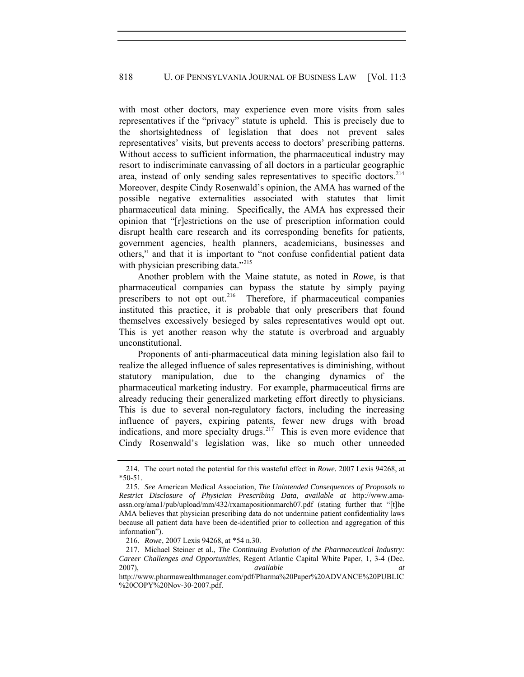with most other doctors, may experience even more visits from sales representatives if the "privacy" statute is upheld. This is precisely due to the shortsightedness of legislation that does not prevent sales representatives' visits, but prevents access to doctors' prescribing patterns. Without access to sufficient information, the pharmaceutical industry may resort to indiscriminate canvassing of all doctors in a particular geographic area, instead of only sending sales representatives to specific doctors.<sup>214</sup> Moreover, despite Cindy Rosenwald's opinion, the AMA has warned of the possible negative externalities associated with statutes that limit pharmaceutical data mining. Specifically, the AMA has expressed their opinion that "[r]estrictions on the use of prescription information could disrupt health care research and its corresponding benefits for patients, government agencies, health planners, academicians, businesses and others," and that it is important to "not confuse confidential patient data with physician prescribing data."<sup>215</sup>

Another problem with the Maine statute, as noted in *Rowe*, is that pharmaceutical companies can bypass the statute by simply paying prescribers to not opt out.<sup>216</sup> Therefore, if pharmaceutical companies instituted this practice, it is probable that only prescribers that found themselves excessively besieged by sales representatives would opt out. This is yet another reason why the statute is overbroad and arguably unconstitutional.

Proponents of anti-pharmaceutical data mining legislation also fail to realize the alleged influence of sales representatives is diminishing, without statutory manipulation, due to the changing dynamics of the pharmaceutical marketing industry. For example, pharmaceutical firms are already reducing their generalized marketing effort directly to physicians. This is due to several non-regulatory factors, including the increasing influence of payers, expiring patents, fewer new drugs with broad indications, and more specialty drugs. $217$  This is even more evidence that Cindy Rosenwald's legislation was, like so much other unneeded

 <sup>214.</sup> The court noted the potential for this wasteful effect in *Rowe.* 2007 Lexis 94268, at \*50-51.

<sup>215.</sup> *See* American Medical Association, *The Unintended Consequences of Proposals to Restrict Disclosure of Physician Prescribing Data*, *available at* http://www.amaassn.org/ama1/pub/upload/mm/432/rxamapositionmarch07.pdf (stating further that "[t]he AMA believes that physician prescribing data do not undermine patient confidentiality laws because all patient data have been de-identified prior to collection and aggregation of this information").

<sup>216.</sup> *Rowe*, 2007 Lexis 94268, at \*54 n.30.

 <sup>217.</sup> Michael Steiner et al., *The Continuing Evolution of the Pharmaceutical Industry: Career Challenges and Opportunities*, Regent Atlantic Capital White Paper, 1, 3-4 (Dec. 2007), *available at*

http://www.pharmawealthmanager.com/pdf/Pharma%20Paper%20ADVANCE%20PUBLIC %20COPY%20Nov-30-2007.pdf.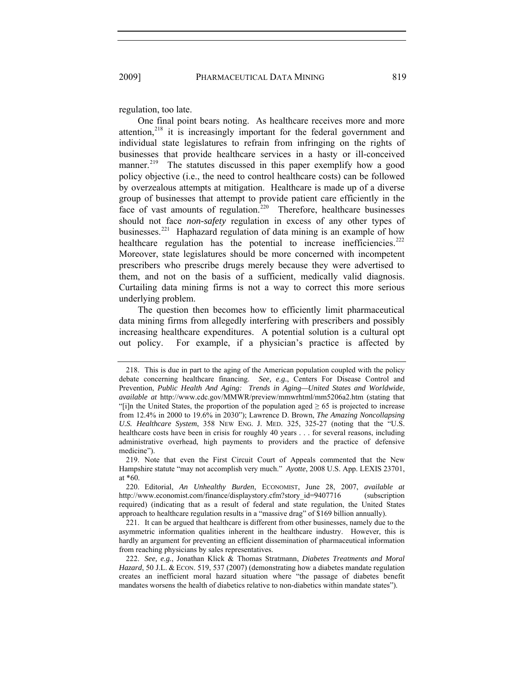regulation, too late.

One final point bears noting. As healthcare receives more and more attention, $218$  it is increasingly important for the federal government and individual state legislatures to refrain from infringing on the rights of businesses that provide healthcare services in a hasty or ill-conceived manner.<sup>219</sup> The statutes discussed in this paper exemplify how a good policy objective (i.e., the need to control healthcare costs) can be followed by overzealous attempts at mitigation. Healthcare is made up of a diverse group of businesses that attempt to provide patient care efficiently in the face of vast amounts of regulation.<sup>220</sup> Therefore, healthcare businesses should not face *non-safety* regulation in excess of any other types of businesses.<sup>221</sup> Haphazard regulation of data mining is an example of how healthcare regulation has the potential to increase inefficiencies. $^{222}$ Moreover, state legislatures should be more concerned with incompetent prescribers who prescribe drugs merely because they were advertised to them, and not on the basis of a sufficient, medically valid diagnosis. Curtailing data mining firms is not a way to correct this more serious underlying problem.

The question then becomes how to efficiently limit pharmaceutical data mining firms from allegedly interfering with prescribers and possibly increasing healthcare expenditures. A potential solution is a cultural opt out policy. For example, if a physician's practice is affected by

 <sup>218.</sup> This is due in part to the aging of the American population coupled with the policy debate concerning healthcare financing. *See, e.g.*, Centers For Disease Control and Prevention, *Public Health And Aging: Trends in Aging—United States and Worldwide*, *available at* http://www.cdc.gov/MMWR/preview/mmwrhtml/mm5206a2.htm (stating that "[i]n the United States, the proportion of the population aged  $\geq 65$  is projected to increase from 12.4% in 2000 to 19.6% in 2030"); Lawrence D. Brown, *The Amazing Noncollapsing U.S. Healthcare System*, 358 NEW ENG. J. MED. 325, 325-27 (noting that the "U.S. healthcare costs have been in crisis for roughly 40 years . . . for several reasons, including administrative overhead, high payments to providers and the practice of defensive medicine").

 <sup>219.</sup> Note that even the First Circuit Court of Appeals commented that the New Hampshire statute "may not accomplish very much." *Ayotte*, 2008 U.S. App. LEXIS 23701, at \*60.

 <sup>220.</sup> Editorial, *An Unhealthy Burden*, ECONOMIST, June 28, 2007, *available at* http://www.economist.com/finance/displaystory.cfm?story\_id=9407716 (subscription required) (indicating that as a result of federal and state regulation, the United States approach to healthcare regulation results in a "massive drag" of \$169 billion annually).

 <sup>221.</sup> It can be argued that healthcare is different from other businesses, namely due to the asymmetric information qualities inherent in the healthcare industry. However, this is hardly an argument for preventing an efficient dissemination of pharmaceutical information from reaching physicians by sales representatives.

<sup>222.</sup> *See, e.g.*, Jonathan Klick & Thomas Stratmann, *Diabetes Treatments and Moral Hazard*, 50 J.L. & ECON. 519, 537 (2007) (demonstrating how a diabetes mandate regulation creates an inefficient moral hazard situation where "the passage of diabetes benefit mandates worsens the health of diabetics relative to non-diabetics within mandate states").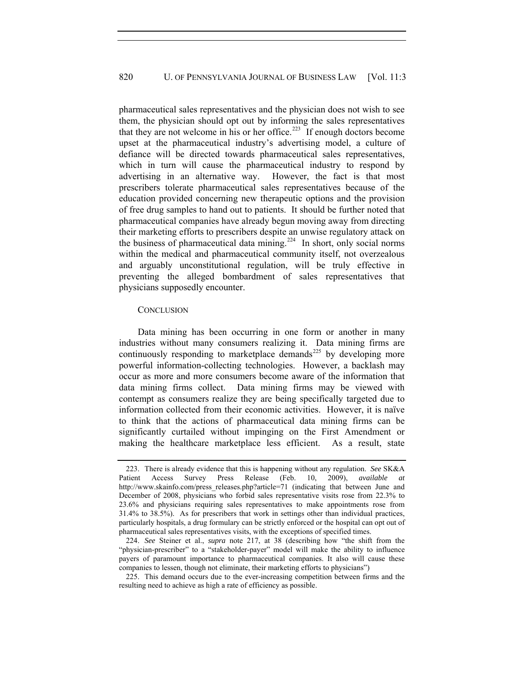pharmaceutical sales representatives and the physician does not wish to see them, the physician should opt out by informing the sales representatives that they are not welcome in his or her office.<sup> $223$ </sup> If enough doctors become upset at the pharmaceutical industry's advertising model, a culture of defiance will be directed towards pharmaceutical sales representatives, which in turn will cause the pharmaceutical industry to respond by advertising in an alternative way. However, the fact is that most prescribers tolerate pharmaceutical sales representatives because of the education provided concerning new therapeutic options and the provision of free drug samples to hand out to patients. It should be further noted that pharmaceutical companies have already begun moving away from directing their marketing efforts to prescribers despite an unwise regulatory attack on the business of pharmaceutical data mining.<sup>224</sup> In short, only social norms within the medical and pharmaceutical community itself, not overzealous and arguably unconstitutional regulation, will be truly effective in preventing the alleged bombardment of sales representatives that physicians supposedly encounter.

## **CONCLUSION**

Data mining has been occurring in one form or another in many industries without many consumers realizing it. Data mining firms are continuously responding to marketplace demands<sup>225</sup> by developing more powerful information-collecting technologies. However, a backlash may occur as more and more consumers become aware of the information that data mining firms collect. Data mining firms may be viewed with contempt as consumers realize they are being specifically targeted due to information collected from their economic activities. However, it is naïve to think that the actions of pharmaceutical data mining firms can be significantly curtailed without impinging on the First Amendment or making the healthcare marketplace less efficient. As a result, state

 <sup>223.</sup> There is already evidence that this is happening without any regulation. *See* SK&A Patient Access Survey Press Release (Feb. 10, 2009), *available at* http://www.skainfo.com/press\_releases.php?article=71 (indicating that between June and December of 2008, physicians who forbid sales representative visits rose from 22.3% to 23.6% and physicians requiring sales representatives to make appointments rose from 31.4% to 38.5%). As for prescribers that work in settings other than individual practices, particularly hospitals, a drug formulary can be strictly enforced or the hospital can opt out of pharmaceutical sales representatives visits, with the exceptions of specified times.

<sup>224.</sup> *See* Steiner et al., *supra* note 217, at 38 (describing how "the shift from the "physician-prescriber" to a "stakeholder-payer" model will make the ability to influence payers of paramount importance to pharmaceutical companies. It also will cause these companies to lessen, though not eliminate, their marketing efforts to physicians")

 <sup>225.</sup> This demand occurs due to the ever-increasing competition between firms and the resulting need to achieve as high a rate of efficiency as possible.